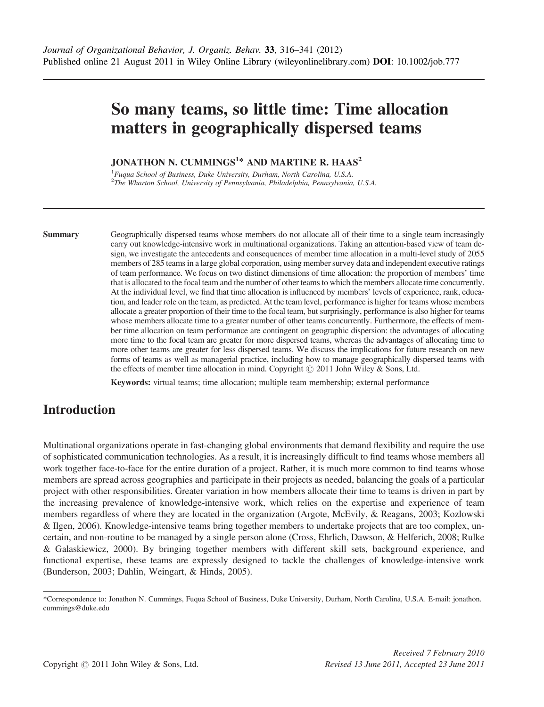# So many teams, so little time: Time allocation matters in geographically dispersed teams

JONATHON N. CUMMINGS $^{1\ast}$  and martine r. Haas $^2$ 

 ${}^{1}_{2}$ Fuqua School of Business, Duke University, Durham, North Carolina, U.S.A. <sup>2</sup>The Wharton School, University of Pennsylvania, Philadelphia, Pennsylvania, U.S.A.

Summary Geographically dispersed teams whose members do not allocate all of their time to a single team increasingly carry out knowledge-intensive work in multinational organizations. Taking an attention-based view of team design, we investigate the antecedents and consequences of member time allocation in a multi-level study of 2055 members of 285 teams in a large global corporation, using member survey data and independent executive ratings of team performance. We focus on two distinct dimensions of time allocation: the proportion of members' time that is allocated to the focal team and the number of other teams to which the members allocate time concurrently. At the individual level, we find that time allocation is influenced by members' levels of experience, rank, education, and leader role on the team, as predicted. At the team level, performance is higher for teams whose members allocate a greater proportion of their time to the focal team, but surprisingly, performance is also higher for teams whose members allocate time to a greater number of other teams concurrently. Furthermore, the effects of member time allocation on team performance are contingent on geographic dispersion: the advantages of allocating more time to the focal team are greater for more dispersed teams, whereas the advantages of allocating time to more other teams are greater for less dispersed teams. We discuss the implications for future research on new forms of teams as well as managerial practice, including how to manage geographically dispersed teams with the effects of member time allocation in mind. Copyright  $\odot$  2011 John Wiley & Sons, Ltd.

Keywords: virtual teams; time allocation; multiple team membership; external performance

# Introduction

Multinational organizations operate in fast-changing global environments that demand flexibility and require the use of sophisticated communication technologies. As a result, it is increasingly difficult to find teams whose members all work together face-to-face for the entire duration of a project. Rather, it is much more common to find teams whose members are spread across geographies and participate in their projects as needed, balancing the goals of a particular project with other responsibilities. Greater variation in how members allocate their time to teams is driven in part by the increasing prevalence of knowledge-intensive work, which relies on the expertise and experience of team members regardless of where they are located in the organization (Argote, McEvily, & Reagans, 2003; Kozlowski & Ilgen, 2006). Knowledge-intensive teams bring together members to undertake projects that are too complex, uncertain, and non-routine to be managed by a single person alone (Cross, Ehrlich, Dawson, & Helferich, 2008; Rulke & Galaskiewicz, 2000). By bringing together members with different skill sets, background experience, and functional expertise, these teams are expressly designed to tackle the challenges of knowledge-intensive work (Bunderson, 2003; Dahlin, Weingart, & Hinds, 2005).

<sup>\*</sup>Correspondence to: Jonathon N. Cummings, Fuqua School of Business, Duke University, Durham, North Carolina, U.S.A. E-mail: jonathon. cummings@duke.edu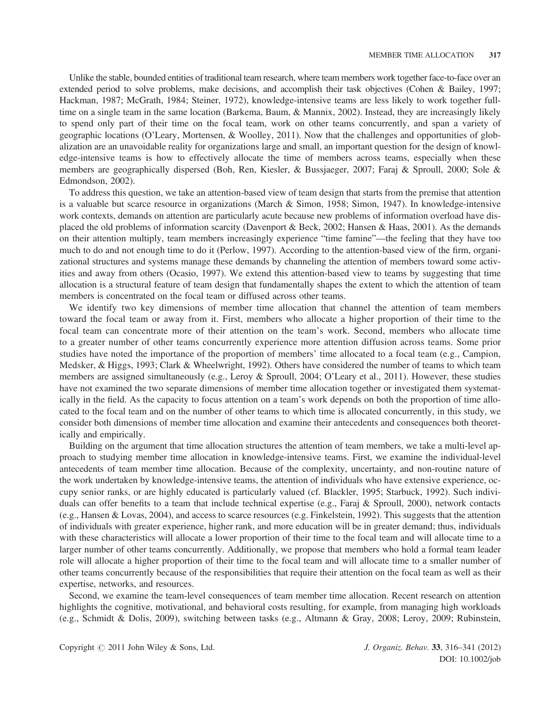Unlike the stable, bounded entities of traditional team research, where team members work together face-to-face over an extended period to solve problems, make decisions, and accomplish their task objectives (Cohen & Bailey, 1997; Hackman, 1987; McGrath, 1984; Steiner, 1972), knowledge-intensive teams are less likely to work together fulltime on a single team in the same location (Barkema, Baum, & Mannix, 2002). Instead, they are increasingly likely to spend only part of their time on the focal team, work on other teams concurrently, and span a variety of geographic locations (O'Leary, Mortensen, & Woolley, 2011). Now that the challenges and opportunities of globalization are an unavoidable reality for organizations large and small, an important question for the design of knowledge-intensive teams is how to effectively allocate the time of members across teams, especially when these members are geographically dispersed (Boh, Ren, Kiesler, & Bussjaeger, 2007; Faraj & Sproull, 2000; Sole & Edmondson, 2002).

To address this question, we take an attention-based view of team design that starts from the premise that attention is a valuable but scarce resource in organizations (March & Simon, 1958; Simon, 1947). In knowledge-intensive work contexts, demands on attention are particularly acute because new problems of information overload have displaced the old problems of information scarcity (Davenport & Beck, 2002; Hansen & Haas, 2001). As the demands on their attention multiply, team members increasingly experience "time famine"—the feeling that they have too much to do and not enough time to do it (Perlow, 1997). According to the attention-based view of the firm, organizational structures and systems manage these demands by channeling the attention of members toward some activities and away from others (Ocasio, 1997). We extend this attention-based view to teams by suggesting that time allocation is a structural feature of team design that fundamentally shapes the extent to which the attention of team members is concentrated on the focal team or diffused across other teams.

We identify two key dimensions of member time allocation that channel the attention of team members toward the focal team or away from it. First, members who allocate a higher proportion of their time to the focal team can concentrate more of their attention on the team's work. Second, members who allocate time to a greater number of other teams concurrently experience more attention diffusion across teams. Some prior studies have noted the importance of the proportion of members' time allocated to a focal team (e.g., Campion, Medsker, & Higgs, 1993; Clark & Wheelwright, 1992). Others have considered the number of teams to which team members are assigned simultaneously (e.g., Leroy & Sproull, 2004; O'Leary et al., 2011). However, these studies have not examined the two separate dimensions of member time allocation together or investigated them systematically in the field. As the capacity to focus attention on a team's work depends on both the proportion of time allocated to the focal team and on the number of other teams to which time is allocated concurrently, in this study, we consider both dimensions of member time allocation and examine their antecedents and consequences both theoretically and empirically.

Building on the argument that time allocation structures the attention of team members, we take a multi-level approach to studying member time allocation in knowledge-intensive teams. First, we examine the individual-level antecedents of team member time allocation. Because of the complexity, uncertainty, and non-routine nature of the work undertaken by knowledge-intensive teams, the attention of individuals who have extensive experience, occupy senior ranks, or are highly educated is particularly valued (cf. Blackler, 1995; Starbuck, 1992). Such individuals can offer benefits to a team that include technical expertise (e.g., Faraj & Sproull, 2000), network contacts (e.g., Hansen & Lovas, 2004), and access to scarce resources (e.g. Finkelstein, 1992). This suggests that the attention of individuals with greater experience, higher rank, and more education will be in greater demand; thus, individuals with these characteristics will allocate a lower proportion of their time to the focal team and will allocate time to a larger number of other teams concurrently. Additionally, we propose that members who hold a formal team leader role will allocate a higher proportion of their time to the focal team and will allocate time to a smaller number of other teams concurrently because of the responsibilities that require their attention on the focal team as well as their expertise, networks, and resources.

Second, we examine the team-level consequences of team member time allocation. Recent research on attention highlights the cognitive, motivational, and behavioral costs resulting, for example, from managing high workloads (e.g., Schmidt & Dolis, 2009), switching between tasks (e.g., Altmann & Gray, 2008; Leroy, 2009; Rubinstein,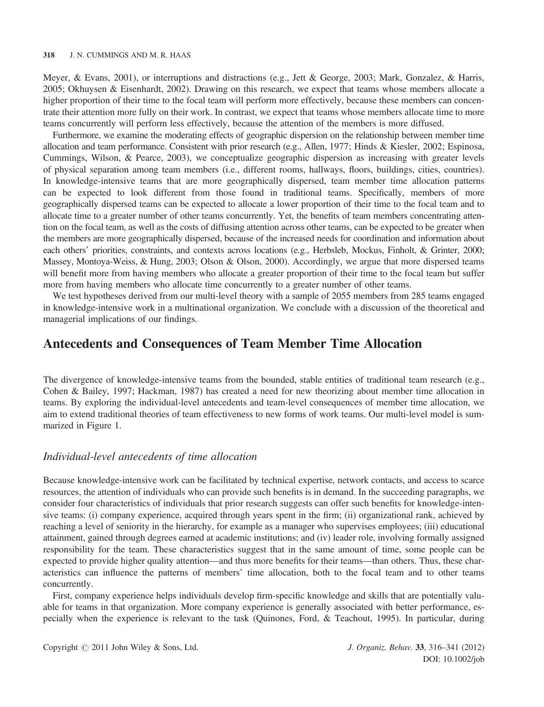Meyer, & Evans, 2001), or interruptions and distractions (e.g., Jett & George, 2003; Mark, Gonzalez, & Harris, 2005; Okhuysen & Eisenhardt, 2002). Drawing on this research, we expect that teams whose members allocate a higher proportion of their time to the focal team will perform more effectively, because these members can concentrate their attention more fully on their work. In contrast, we expect that teams whose members allocate time to more teams concurrently will perform less effectively, because the attention of the members is more diffused.

Furthermore, we examine the moderating effects of geographic dispersion on the relationship between member time allocation and team performance. Consistent with prior research (e.g., Allen, 1977; Hinds & Kiesler, 2002; Espinosa, Cummings, Wilson, & Pearce, 2003), we conceptualize geographic dispersion as increasing with greater levels of physical separation among team members (i.e., different rooms, hallways, floors, buildings, cities, countries). In knowledge-intensive teams that are more geographically dispersed, team member time allocation patterns can be expected to look different from those found in traditional teams. Specifically, members of more geographically dispersed teams can be expected to allocate a lower proportion of their time to the focal team and to allocate time to a greater number of other teams concurrently. Yet, the benefits of team members concentrating attention on the focal team, as well as the costs of diffusing attention across other teams, can be expected to be greater when the members are more geographically dispersed, because of the increased needs for coordination and information about each others' priorities, constraints, and contexts across locations (e.g., Herbsleb, Mockus, Finholt, & Grinter, 2000; Massey, Montoya-Weiss, & Hung, 2003; Olson & Olson, 2000). Accordingly, we argue that more dispersed teams will benefit more from having members who allocate a greater proportion of their time to the focal team but suffer more from having members who allocate time concurrently to a greater number of other teams.

We test hypotheses derived from our multi-level theory with a sample of 2055 members from 285 teams engaged in knowledge-intensive work in a multinational organization. We conclude with a discussion of the theoretical and managerial implications of our findings.

# Antecedents and Consequences of Team Member Time Allocation

The divergence of knowledge-intensive teams from the bounded, stable entities of traditional team research (e.g., Cohen & Bailey, 1997; Hackman, 1987) has created a need for new theorizing about member time allocation in teams. By exploring the individual-level antecedents and team-level consequences of member time allocation, we aim to extend traditional theories of team effectiveness to new forms of work teams. Our multi-level model is summarized in Figure 1.

### Individual-level antecedents of time allocation

Because knowledge-intensive work can be facilitated by technical expertise, network contacts, and access to scarce resources, the attention of individuals who can provide such benefits is in demand. In the succeeding paragraphs, we consider four characteristics of individuals that prior research suggests can offer such benefits for knowledge-intensive teams: (i) company experience, acquired through years spent in the firm; (ii) organizational rank, achieved by reaching a level of seniority in the hierarchy, for example as a manager who supervises employees; (iii) educational attainment, gained through degrees earned at academic institutions; and (iv) leader role, involving formally assigned responsibility for the team. These characteristics suggest that in the same amount of time, some people can be expected to provide higher quality attention—and thus more benefits for their teams—than others. Thus, these characteristics can influence the patterns of members' time allocation, both to the focal team and to other teams concurrently.

First, company experience helps individuals develop firm-specific knowledge and skills that are potentially valuable for teams in that organization. More company experience is generally associated with better performance, especially when the experience is relevant to the task (Quinones, Ford, & Teachout, 1995). In particular, during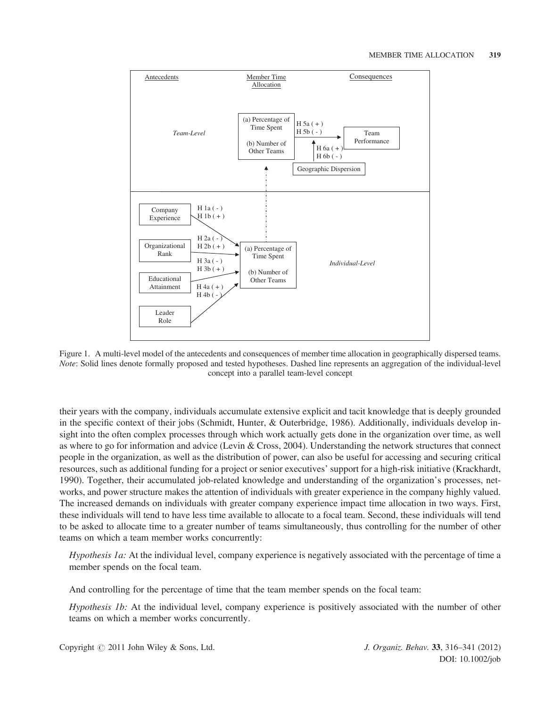

Figure 1. A multi-level model of the antecedents and consequences of member time allocation in geographically dispersed teams. Note: Solid lines denote formally proposed and tested hypotheses. Dashed line represents an aggregation of the individual-level concept into a parallel team-level concept

their years with the company, individuals accumulate extensive explicit and tacit knowledge that is deeply grounded in the specific context of their jobs (Schmidt, Hunter, & Outerbridge, 1986). Additionally, individuals develop insight into the often complex processes through which work actually gets done in the organization over time, as well as where to go for information and advice (Levin & Cross, 2004). Understanding the network structures that connect people in the organization, as well as the distribution of power, can also be useful for accessing and securing critical resources, such as additional funding for a project or senior executives' support for a high-risk initiative (Krackhardt, 1990). Together, their accumulated job-related knowledge and understanding of the organization's processes, networks, and power structure makes the attention of individuals with greater experience in the company highly valued. The increased demands on individuals with greater company experience impact time allocation in two ways. First, these individuals will tend to have less time available to allocate to a focal team. Second, these individuals will tend to be asked to allocate time to a greater number of teams simultaneously, thus controlling for the number of other teams on which a team member works concurrently:

Hypothesis 1a: At the individual level, company experience is negatively associated with the percentage of time a member spends on the focal team.

And controlling for the percentage of time that the team member spends on the focal team:

Hypothesis 1b: At the individual level, company experience is positively associated with the number of other teams on which a member works concurrently.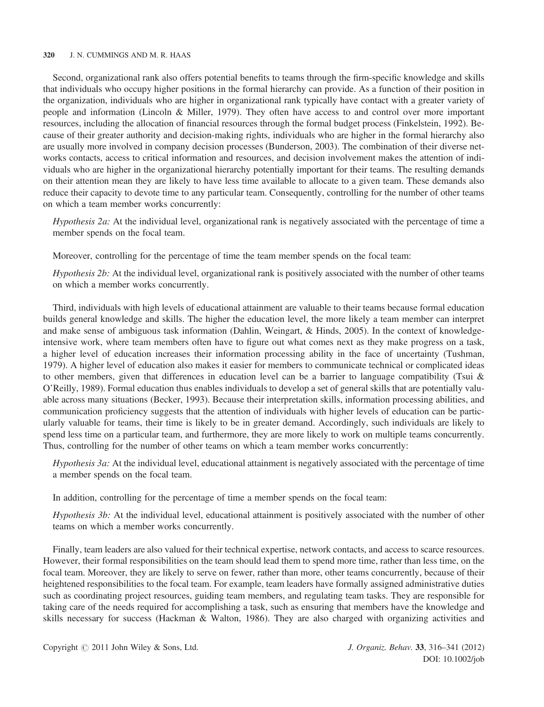Second, organizational rank also offers potential benefits to teams through the firm-specific knowledge and skills that individuals who occupy higher positions in the formal hierarchy can provide. As a function of their position in the organization, individuals who are higher in organizational rank typically have contact with a greater variety of people and information (Lincoln & Miller, 1979). They often have access to and control over more important resources, including the allocation of financial resources through the formal budget process (Finkelstein, 1992). Because of their greater authority and decision-making rights, individuals who are higher in the formal hierarchy also are usually more involved in company decision processes (Bunderson, 2003). The combination of their diverse networks contacts, access to critical information and resources, and decision involvement makes the attention of individuals who are higher in the organizational hierarchy potentially important for their teams. The resulting demands on their attention mean they are likely to have less time available to allocate to a given team. These demands also reduce their capacity to devote time to any particular team. Consequently, controlling for the number of other teams on which a team member works concurrently:

Hypothesis 2a: At the individual level, organizational rank is negatively associated with the percentage of time a member spends on the focal team.

Moreover, controlling for the percentage of time the team member spends on the focal team:

Hypothesis 2b: At the individual level, organizational rank is positively associated with the number of other teams on which a member works concurrently.

Third, individuals with high levels of educational attainment are valuable to their teams because formal education builds general knowledge and skills. The higher the education level, the more likely a team member can interpret and make sense of ambiguous task information (Dahlin, Weingart, & Hinds, 2005). In the context of knowledgeintensive work, where team members often have to figure out what comes next as they make progress on a task, a higher level of education increases their information processing ability in the face of uncertainty (Tushman, 1979). A higher level of education also makes it easier for members to communicate technical or complicated ideas to other members, given that differences in education level can be a barrier to language compatibility (Tsui & O'Reilly, 1989). Formal education thus enables individuals to develop a set of general skills that are potentially valuable across many situations (Becker, 1993). Because their interpretation skills, information processing abilities, and communication proficiency suggests that the attention of individuals with higher levels of education can be particularly valuable for teams, their time is likely to be in greater demand. Accordingly, such individuals are likely to spend less time on a particular team, and furthermore, they are more likely to work on multiple teams concurrently. Thus, controlling for the number of other teams on which a team member works concurrently:

Hypothesis 3a: At the individual level, educational attainment is negatively associated with the percentage of time a member spends on the focal team.

In addition, controlling for the percentage of time a member spends on the focal team:

Hypothesis 3b: At the individual level, educational attainment is positively associated with the number of other teams on which a member works concurrently.

Finally, team leaders are also valued for their technical expertise, network contacts, and access to scarce resources. However, their formal responsibilities on the team should lead them to spend more time, rather than less time, on the focal team. Moreover, they are likely to serve on fewer, rather than more, other teams concurrently, because of their heightened responsibilities to the focal team. For example, team leaders have formally assigned administrative duties such as coordinating project resources, guiding team members, and regulating team tasks. They are responsible for taking care of the needs required for accomplishing a task, such as ensuring that members have the knowledge and skills necessary for success (Hackman & Walton, 1986). They are also charged with organizing activities and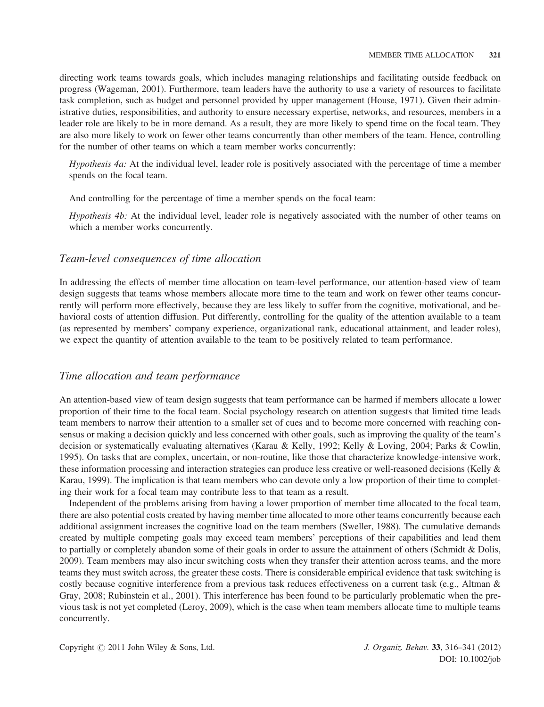directing work teams towards goals, which includes managing relationships and facilitating outside feedback on progress (Wageman, 2001). Furthermore, team leaders have the authority to use a variety of resources to facilitate task completion, such as budget and personnel provided by upper management (House, 1971). Given their administrative duties, responsibilities, and authority to ensure necessary expertise, networks, and resources, members in a leader role are likely to be in more demand. As a result, they are more likely to spend time on the focal team. They are also more likely to work on fewer other teams concurrently than other members of the team. Hence, controlling for the number of other teams on which a team member works concurrently:

Hypothesis 4a: At the individual level, leader role is positively associated with the percentage of time a member spends on the focal team.

And controlling for the percentage of time a member spends on the focal team:

Hypothesis 4b: At the individual level, leader role is negatively associated with the number of other teams on which a member works concurrently.

### Team-level consequences of time allocation

In addressing the effects of member time allocation on team-level performance, our attention-based view of team design suggests that teams whose members allocate more time to the team and work on fewer other teams concurrently will perform more effectively, because they are less likely to suffer from the cognitive, motivational, and behavioral costs of attention diffusion. Put differently, controlling for the quality of the attention available to a team (as represented by members' company experience, organizational rank, educational attainment, and leader roles), we expect the quantity of attention available to the team to be positively related to team performance.

#### Time allocation and team performance

An attention-based view of team design suggests that team performance can be harmed if members allocate a lower proportion of their time to the focal team. Social psychology research on attention suggests that limited time leads team members to narrow their attention to a smaller set of cues and to become more concerned with reaching consensus or making a decision quickly and less concerned with other goals, such as improving the quality of the team's decision or systematically evaluating alternatives (Karau & Kelly, 1992; Kelly & Loving, 2004; Parks & Cowlin, 1995). On tasks that are complex, uncertain, or non-routine, like those that characterize knowledge-intensive work, these information processing and interaction strategies can produce less creative or well-reasoned decisions (Kelly & Karau, 1999). The implication is that team members who can devote only a low proportion of their time to completing their work for a focal team may contribute less to that team as a result.

Independent of the problems arising from having a lower proportion of member time allocated to the focal team, there are also potential costs created by having member time allocated to more other teams concurrently because each additional assignment increases the cognitive load on the team members (Sweller, 1988). The cumulative demands created by multiple competing goals may exceed team members' perceptions of their capabilities and lead them to partially or completely abandon some of their goals in order to assure the attainment of others (Schmidt & Dolis, 2009). Team members may also incur switching costs when they transfer their attention across teams, and the more teams they must switch across, the greater these costs. There is considerable empirical evidence that task switching is costly because cognitive interference from a previous task reduces effectiveness on a current task (e.g., Altman & Gray, 2008; Rubinstein et al., 2001). This interference has been found to be particularly problematic when the previous task is not yet completed (Leroy, 2009), which is the case when team members allocate time to multiple teams concurrently.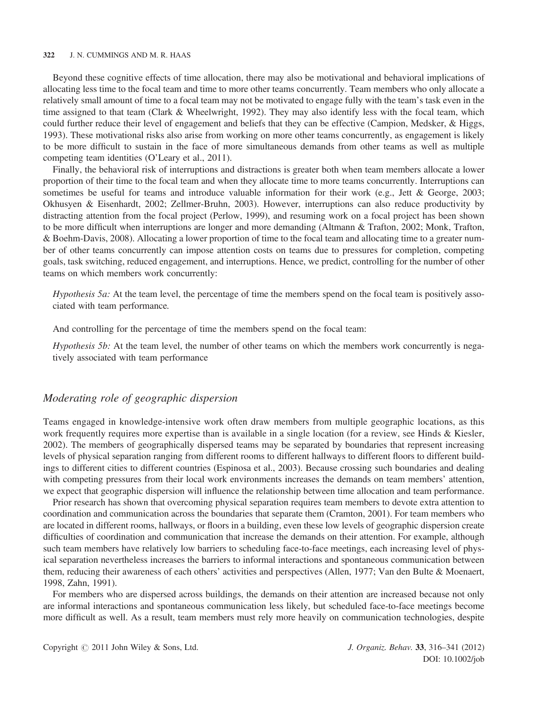Beyond these cognitive effects of time allocation, there may also be motivational and behavioral implications of allocating less time to the focal team and time to more other teams concurrently. Team members who only allocate a relatively small amount of time to a focal team may not be motivated to engage fully with the team's task even in the time assigned to that team (Clark & Wheelwright, 1992). They may also identify less with the focal team, which could further reduce their level of engagement and beliefs that they can be effective (Campion, Medsker, & Higgs, 1993). These motivational risks also arise from working on more other teams concurrently, as engagement is likely to be more difficult to sustain in the face of more simultaneous demands from other teams as well as multiple competing team identities (O'Leary et al., 2011).

Finally, the behavioral risk of interruptions and distractions is greater both when team members allocate a lower proportion of their time to the focal team and when they allocate time to more teams concurrently. Interruptions can sometimes be useful for teams and introduce valuable information for their work (e.g., Jett & George, 2003; Okhusyen & Eisenhardt, 2002; Zellmer-Bruhn, 2003). However, interruptions can also reduce productivity by distracting attention from the focal project (Perlow, 1999), and resuming work on a focal project has been shown to be more difficult when interruptions are longer and more demanding (Altmann & Trafton, 2002; Monk, Trafton, & Boehm-Davis, 2008). Allocating a lower proportion of time to the focal team and allocating time to a greater number of other teams concurrently can impose attention costs on teams due to pressures for completion, competing goals, task switching, reduced engagement, and interruptions. Hence, we predict, controlling for the number of other teams on which members work concurrently:

Hypothesis 5a: At the team level, the percentage of time the members spend on the focal team is positively associated with team performance.

And controlling for the percentage of time the members spend on the focal team:

Hypothesis 5b: At the team level, the number of other teams on which the members work concurrently is negatively associated with team performance

### Moderating role of geographic dispersion

Teams engaged in knowledge-intensive work often draw members from multiple geographic locations, as this work frequently requires more expertise than is available in a single location (for a review, see Hinds & Kiesler, 2002). The members of geographically dispersed teams may be separated by boundaries that represent increasing levels of physical separation ranging from different rooms to different hallways to different floors to different buildings to different cities to different countries (Espinosa et al., 2003). Because crossing such boundaries and dealing with competing pressures from their local work environments increases the demands on team members' attention, we expect that geographic dispersion will influence the relationship between time allocation and team performance.

Prior research has shown that overcoming physical separation requires team members to devote extra attention to coordination and communication across the boundaries that separate them (Cramton, 2001). For team members who are located in different rooms, hallways, or floors in a building, even these low levels of geographic dispersion create difficulties of coordination and communication that increase the demands on their attention. For example, although such team members have relatively low barriers to scheduling face-to-face meetings, each increasing level of physical separation nevertheless increases the barriers to informal interactions and spontaneous communication between them, reducing their awareness of each others' activities and perspectives (Allen, 1977; Van den Bulte & Moenaert, 1998, Zahn, 1991).

For members who are dispersed across buildings, the demands on their attention are increased because not only are informal interactions and spontaneous communication less likely, but scheduled face-to-face meetings become more difficult as well. As a result, team members must rely more heavily on communication technologies, despite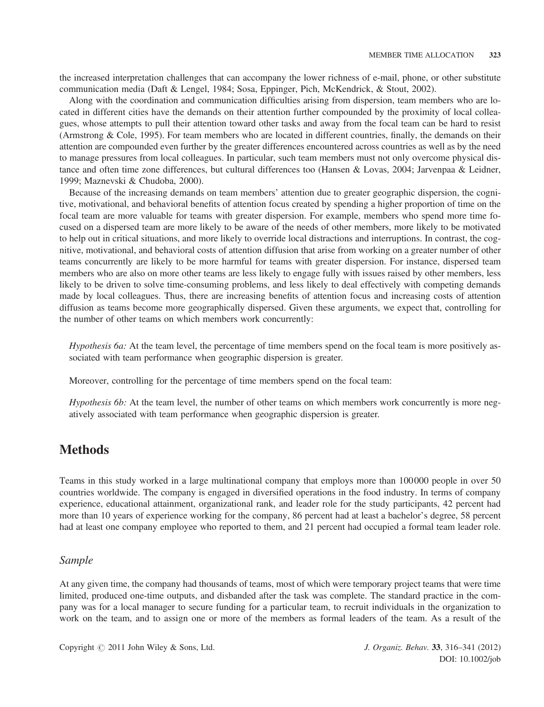the increased interpretation challenges that can accompany the lower richness of e-mail, phone, or other substitute communication media (Daft & Lengel, 1984; Sosa, Eppinger, Pich, McKendrick, & Stout, 2002).

Along with the coordination and communication difficulties arising from dispersion, team members who are located in different cities have the demands on their attention further compounded by the proximity of local colleagues, whose attempts to pull their attention toward other tasks and away from the focal team can be hard to resist (Armstrong & Cole, 1995). For team members who are located in different countries, finally, the demands on their attention are compounded even further by the greater differences encountered across countries as well as by the need to manage pressures from local colleagues. In particular, such team members must not only overcome physical distance and often time zone differences, but cultural differences too (Hansen & Lovas, 2004; Jarvenpaa & Leidner, 1999; Maznevski & Chudoba, 2000).

Because of the increasing demands on team members' attention due to greater geographic dispersion, the cognitive, motivational, and behavioral benefits of attention focus created by spending a higher proportion of time on the focal team are more valuable for teams with greater dispersion. For example, members who spend more time focused on a dispersed team are more likely to be aware of the needs of other members, more likely to be motivated to help out in critical situations, and more likely to override local distractions and interruptions. In contrast, the cognitive, motivational, and behavioral costs of attention diffusion that arise from working on a greater number of other teams concurrently are likely to be more harmful for teams with greater dispersion. For instance, dispersed team members who are also on more other teams are less likely to engage fully with issues raised by other members, less likely to be driven to solve time-consuming problems, and less likely to deal effectively with competing demands made by local colleagues. Thus, there are increasing benefits of attention focus and increasing costs of attention diffusion as teams become more geographically dispersed. Given these arguments, we expect that, controlling for the number of other teams on which members work concurrently:

Hypothesis 6a: At the team level, the percentage of time members spend on the focal team is more positively associated with team performance when geographic dispersion is greater.

Moreover, controlling for the percentage of time members spend on the focal team:

Hypothesis 6b: At the team level, the number of other teams on which members work concurrently is more negatively associated with team performance when geographic dispersion is greater.

# Methods

Teams in this study worked in a large multinational company that employs more than 100000 people in over 50 countries worldwide. The company is engaged in diversified operations in the food industry. In terms of company experience, educational attainment, organizational rank, and leader role for the study participants, 42 percent had more than 10 years of experience working for the company, 86 percent had at least a bachelor's degree, 58 percent had at least one company employee who reported to them, and 21 percent had occupied a formal team leader role.

### Sample

At any given time, the company had thousands of teams, most of which were temporary project teams that were time limited, produced one-time outputs, and disbanded after the task was complete. The standard practice in the company was for a local manager to secure funding for a particular team, to recruit individuals in the organization to work on the team, and to assign one or more of the members as formal leaders of the team. As a result of the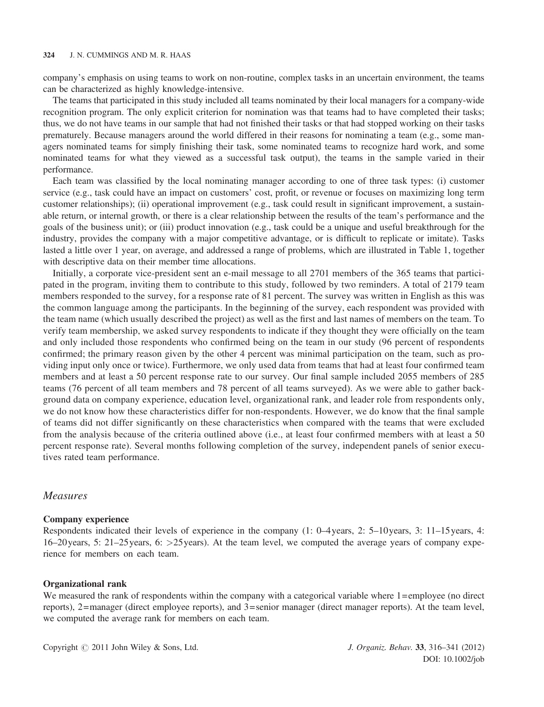company's emphasis on using teams to work on non-routine, complex tasks in an uncertain environment, the teams can be characterized as highly knowledge-intensive.

The teams that participated in this study included all teams nominated by their local managers for a company-wide recognition program. The only explicit criterion for nomination was that teams had to have completed their tasks; thus, we do not have teams in our sample that had not finished their tasks or that had stopped working on their tasks prematurely. Because managers around the world differed in their reasons for nominating a team (e.g., some managers nominated teams for simply finishing their task, some nominated teams to recognize hard work, and some nominated teams for what they viewed as a successful task output), the teams in the sample varied in their performance.

Each team was classified by the local nominating manager according to one of three task types: (i) customer service (e.g., task could have an impact on customers' cost, profit, or revenue or focuses on maximizing long term customer relationships); (ii) operational improvement (e.g., task could result in significant improvement, a sustainable return, or internal growth, or there is a clear relationship between the results of the team's performance and the goals of the business unit); or (iii) product innovation (e.g., task could be a unique and useful breakthrough for the industry, provides the company with a major competitive advantage, or is difficult to replicate or imitate). Tasks lasted a little over 1 year, on average, and addressed a range of problems, which are illustrated in Table 1, together with descriptive data on their member time allocations.

Initially, a corporate vice-president sent an e-mail message to all 2701 members of the 365 teams that participated in the program, inviting them to contribute to this study, followed by two reminders. A total of 2179 team members responded to the survey, for a response rate of 81 percent. The survey was written in English as this was the common language among the participants. In the beginning of the survey, each respondent was provided with the team name (which usually described the project) as well as the first and last names of members on the team. To verify team membership, we asked survey respondents to indicate if they thought they were officially on the team and only included those respondents who confirmed being on the team in our study (96 percent of respondents confirmed; the primary reason given by the other 4 percent was minimal participation on the team, such as providing input only once or twice). Furthermore, we only used data from teams that had at least four confirmed team members and at least a 50 percent response rate to our survey. Our final sample included 2055 members of 285 teams (76 percent of all team members and 78 percent of all teams surveyed). As we were able to gather background data on company experience, education level, organizational rank, and leader role from respondents only, we do not know how these characteristics differ for non-respondents. However, we do know that the final sample of teams did not differ significantly on these characteristics when compared with the teams that were excluded from the analysis because of the criteria outlined above (i.e., at least four confirmed members with at least a 50 percent response rate). Several months following completion of the survey, independent panels of senior executives rated team performance.

### Measures

#### Company experience

Respondents indicated their levels of experience in the company (1: 0–4years, 2: 5–10years, 3: 11–15years, 4: 16–20years, 5: 21–25years, 6: >25years). At the team level, we computed the average years of company experience for members on each team.

#### Organizational rank

We measured the rank of respondents within the company with a categorical variable where 1=employee (no direct reports), 2=manager (direct employee reports), and 3=senior manager (direct manager reports). At the team level, we computed the average rank for members on each team.

Copyright  $\odot$  2011 John Wiley & Sons, Ltd.  $J.$  Organiz. Behav. 33, 316–341 (2012)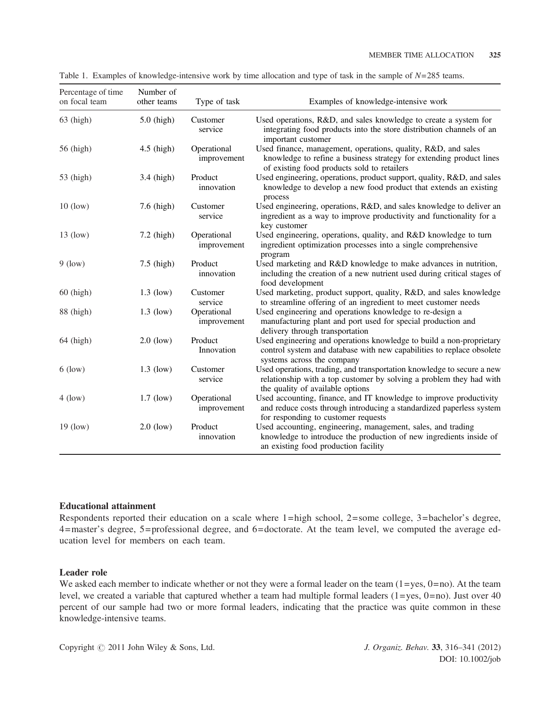| Percentage of time<br>on focal team | Number of<br>other teams | Type of task               | Examples of knowledge-intensive work                                                                                                                                                |
|-------------------------------------|--------------------------|----------------------------|-------------------------------------------------------------------------------------------------------------------------------------------------------------------------------------|
| $63$ (high)                         | 5.0 (high)               | Customer<br>service        | Used operations, R&D, and sales knowledge to create a system for<br>integrating food products into the store distribution channels of an<br>important customer                      |
| 56 (high)                           | $4.5$ (high)             | Operational<br>improvement | Used finance, management, operations, quality, R&D, and sales<br>knowledge to refine a business strategy for extending product lines<br>of existing food products sold to retailers |
| $53$ (high)                         | $3.4$ (high)             | Product<br>innovation      | Used engineering, operations, product support, quality, R&D, and sales<br>knowledge to develop a new food product that extends an existing<br>process                               |
| $10$ (low)                          | 7.6 (high)               | Customer<br>service        | Used engineering, operations, R&D, and sales knowledge to deliver an<br>ingredient as a way to improve productivity and functionality for a<br>key customer                         |
| $13$ (low)                          | 7.2 (high)               | Operational<br>improvement | Used engineering, operations, quality, and R&D knowledge to turn<br>ingredient optimization processes into a single comprehensive<br>program                                        |
| $9$ (low)                           | 7.5 (high)               | Product<br>innovation      | Used marketing and R&D knowledge to make advances in nutrition,<br>including the creation of a new nutrient used during critical stages of<br>food development                      |
| $60$ (high)                         | $1.3$ (low)              | Customer<br>service        | Used marketing, product support, quality, R&D, and sales knowledge<br>to streamline offering of an ingredient to meet customer needs                                                |
| 88 (high)                           | $1.3$ (low)              | Operational<br>improvement | Used engineering and operations knowledge to re-design a<br>manufacturing plant and port used for special production and<br>delivery through transportation                         |
| $64$ (high)                         | $2.0$ (low)              | Product<br>Innovation      | Used engineering and operations knowledge to build a non-proprietary<br>control system and database with new capabilities to replace obsolete<br>systems across the company         |
| $6$ (low)                           | $1.3$ (low)              | Customer<br>service        | Used operations, trading, and transportation knowledge to secure a new<br>relationship with a top customer by solving a problem they had with<br>the quality of available options   |
| $4$ (low)                           | $1.7$ (low)              | Operational<br>improvement | Used accounting, finance, and IT knowledge to improve productivity<br>and reduce costs through introducing a standardized paperless system<br>for responding to customer requests   |
| $19$ (low)                          | $2.0$ (low)              | Product<br>innovation      | Used accounting, engineering, management, sales, and trading<br>knowledge to introduce the production of new ingredients inside of<br>an existing food production facility          |

Table 1. Examples of knowledge-intensive work by time allocation and type of task in the sample of  $N=285$  teams.

#### Educational attainment

Respondents reported their education on a scale where 1=high school, 2=some college, 3=bachelor's degree, 4=master's degree, 5=professional degree, and 6=doctorate. At the team level, we computed the average education level for members on each team.

#### Leader role

We asked each member to indicate whether or not they were a formal leader on the team  $(1 = yes, 0 = no)$ . At the team level, we created a variable that captured whether a team had multiple formal leaders  $(1 = yes, 0 = no)$ . Just over 40 percent of our sample had two or more formal leaders, indicating that the practice was quite common in these knowledge-intensive teams.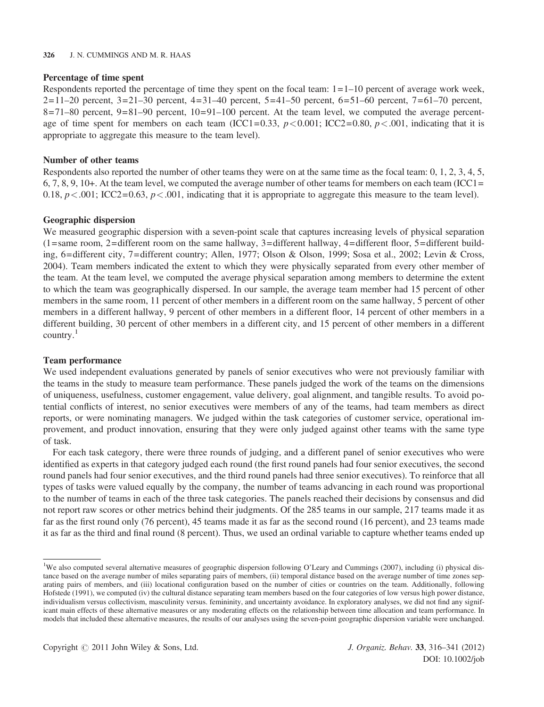#### Percentage of time spent

Respondents reported the percentage of time they spent on the focal team:  $1=1-10$  percent of average work week,  $2=11-20$  percent,  $3=21-30$  percent,  $4=31-40$  percent,  $5=41-50$  percent,  $6=51-60$  percent,  $7=61-70$  percent,  $8=71-80$  percent,  $9=81-90$  percent,  $10=91-100$  percent. At the team level, we computed the average percentage of time spent for members on each team (ICC1=0.33,  $p < 0.001$ ; ICC2=0.80,  $p < .001$ , indicating that it is appropriate to aggregate this measure to the team level).

#### Number of other teams

Respondents also reported the number of other teams they were on at the same time as the focal team: 0, 1, 2, 3, 4, 5, 6, 7, 8, 9, 10+. At the team level, we computed the average number of other teams for members on each team (ICC1= 0.18,  $p < .001$ ; ICC2=0.63,  $p < .001$ , indicating that it is appropriate to aggregate this measure to the team level).

#### Geographic dispersion

We measured geographic dispersion with a seven-point scale that captures increasing levels of physical separation  $(1)$ =same room, 2=different room on the same hallway, 3=different hallway, 4=different floor, 5=different building, 6=different city, 7=different country; Allen, 1977; Olson & Olson, 1999; Sosa et al., 2002; Levin & Cross, 2004). Team members indicated the extent to which they were physically separated from every other member of the team. At the team level, we computed the average physical separation among members to determine the extent to which the team was geographically dispersed. In our sample, the average team member had 15 percent of other members in the same room, 11 percent of other members in a different room on the same hallway, 5 percent of other members in a different hallway, 9 percent of other members in a different floor, 14 percent of other members in a different building, 30 percent of other members in a different city, and 15 percent of other members in a different  $country.<sup>1</sup>$ 

#### Team performance

We used independent evaluations generated by panels of senior executives who were not previously familiar with the teams in the study to measure team performance. These panels judged the work of the teams on the dimensions of uniqueness, usefulness, customer engagement, value delivery, goal alignment, and tangible results. To avoid potential conflicts of interest, no senior executives were members of any of the teams, had team members as direct reports, or were nominating managers. We judged within the task categories of customer service, operational improvement, and product innovation, ensuring that they were only judged against other teams with the same type of task.

For each task category, there were three rounds of judging, and a different panel of senior executives who were identified as experts in that category judged each round (the first round panels had four senior executives, the second round panels had four senior executives, and the third round panels had three senior executives). To reinforce that all types of tasks were valued equally by the company, the number of teams advancing in each round was proportional to the number of teams in each of the three task categories. The panels reached their decisions by consensus and did not report raw scores or other metrics behind their judgments. Of the 285 teams in our sample, 217 teams made it as far as the first round only (76 percent), 45 teams made it as far as the second round (16 percent), and 23 teams made it as far as the third and final round (8 percent). Thus, we used an ordinal variable to capture whether teams ended up

<sup>&</sup>lt;sup>1</sup>We also computed several alternative measures of geographic dispersion following O'Leary and Cummings (2007), including (i) physical distance based on the average number of miles separating pairs of members, (ii) temporal distance based on the average number of time zones separating pairs of members, and (iii) locational configuration based on the number of cities or countries on the team. Additionally, following Hofstede (1991), we computed (iv) the cultural distance separating team members based on the four categories of low versus high power distance, individualism versus collectivism, masculinity versus. femininity, and uncertainty avoidance. In exploratory analyses, we did not find any significant main effects of these alternative measures or any moderating effects on the relationship between time allocation and team performance. In models that included these alternative measures, the results of our analyses using the seven-point geographic dispersion variable were unchanged.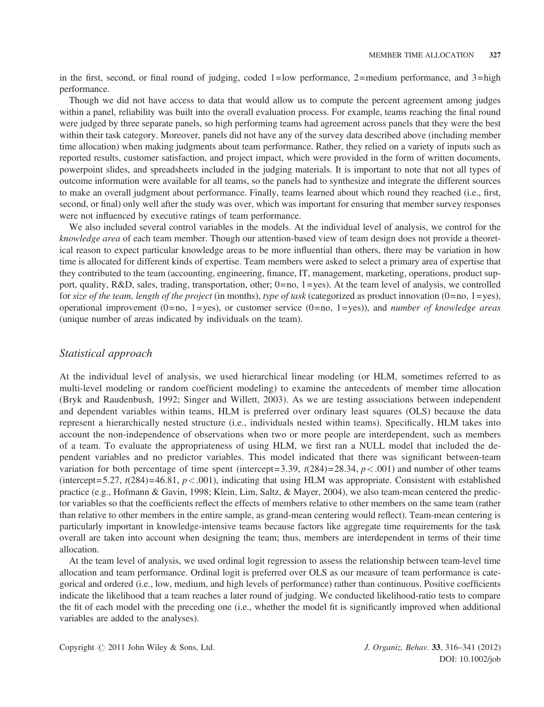in the first, second, or final round of judging, coded  $1=$ low performance,  $2=$ medium performance, and  $3=$ high performance.

Though we did not have access to data that would allow us to compute the percent agreement among judges within a panel, reliability was built into the overall evaluation process. For example, teams reaching the final round were judged by three separate panels, so high performing teams had agreement across panels that they were the best within their task category. Moreover, panels did not have any of the survey data described above (including member time allocation) when making judgments about team performance. Rather, they relied on a variety of inputs such as reported results, customer satisfaction, and project impact, which were provided in the form of written documents, powerpoint slides, and spreadsheets included in the judging materials. It is important to note that not all types of outcome information were available for all teams, so the panels had to synthesize and integrate the different sources to make an overall judgment about performance. Finally, teams learned about which round they reached (i.e., first, second, or final) only well after the study was over, which was important for ensuring that member survey responses were not influenced by executive ratings of team performance.

We also included several control variables in the models. At the individual level of analysis, we control for the knowledge area of each team member. Though our attention-based view of team design does not provide a theoretical reason to expect particular knowledge areas to be more influential than others, there may be variation in how time is allocated for different kinds of expertise. Team members were asked to select a primary area of expertise that they contributed to the team (accounting, engineering, finance, IT, management, marketing, operations, product support, quality, R&D, sales, trading, transportation, other; 0=no, 1=yes). At the team level of analysis, we controlled for size of the team, length of the project (in months), type of task (categorized as product innovation  $(0=no, 1=yes)$ , operational improvement (0=no, 1=yes), or customer service (0=no, 1=yes)), and *number of knowledge areas* (unique number of areas indicated by individuals on the team).

#### Statistical approach

At the individual level of analysis, we used hierarchical linear modeling (or HLM, sometimes referred to as multi-level modeling or random coefficient modeling) to examine the antecedents of member time allocation (Bryk and Raudenbush, 1992; Singer and Willett, 2003). As we are testing associations between independent and dependent variables within teams, HLM is preferred over ordinary least squares (OLS) because the data represent a hierarchically nested structure (i.e., individuals nested within teams). Specifically, HLM takes into account the non-independence of observations when two or more people are interdependent, such as members of a team. To evaluate the appropriateness of using HLM, we first ran a NULL model that included the dependent variables and no predictor variables. This model indicated that there was significant between-team variation for both percentage of time spent (intercept=3.39,  $t(284)=28.34$ ,  $p < .001$ ) and number of other teams (intercept=5.27,  $t(284)=46.81$ ,  $p<.001$ ), indicating that using HLM was appropriate. Consistent with established practice (e.g., Hofmann & Gavin, 1998; Klein, Lim, Saltz, & Mayer, 2004), we also team-mean centered the predictor variables so that the coefficients reflect the effects of members relative to other members on the same team (rather than relative to other members in the entire sample, as grand-mean centering would reflect). Team-mean centering is particularly important in knowledge-intensive teams because factors like aggregate time requirements for the task overall are taken into account when designing the team; thus, members are interdependent in terms of their time allocation.

At the team level of analysis, we used ordinal logit regression to assess the relationship between team-level time allocation and team performance. Ordinal logit is preferred over OLS as our measure of team performance is categorical and ordered (i.e., low, medium, and high levels of performance) rather than continuous. Positive coefficients indicate the likelihood that a team reaches a later round of judging. We conducted likelihood-ratio tests to compare the fit of each model with the preceding one (i.e., whether the model fit is significantly improved when additional variables are added to the analyses).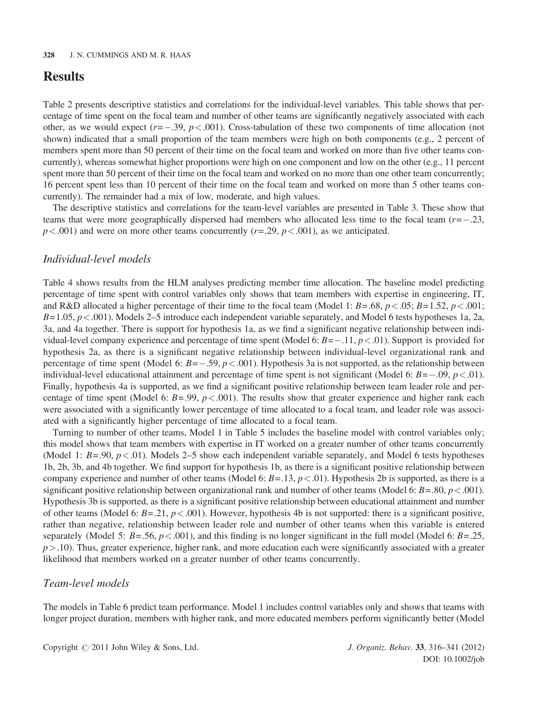# **Results**

Table 2 presents descriptive statistics and correlations for the individual-level variables. This table shows that percentage of time spent on the focal team and number of other teams are significantly negatively associated with each other, as we would expect  $(r=-.39, p<.001)$ . Cross-tabulation of these two components of time allocation (not shown) indicated that a small proportion of the team members were high on both components (e.g., 2 percent of members spent more than 50 percent of their time on the focal team and worked on more than five other teams concurrently), whereas somewhat higher proportions were high on one component and low on the other (e.g., 11 percent spent more than 50 percent of their time on the focal team and worked on no more than one other team concurrently; 16 percent spent less than 10 percent of their time on the focal team and worked on more than 5 other teams concurrently). The remainder had a mix of low, moderate, and high values.

The descriptive statistics and correlations for the team-level variables are presented in Table 3. These show that teams that were more geographically dispersed had members who allocated less time to the focal team  $(r=-.23,$  $p < .001$ ) and were on more other teams concurrently ( $r = .29$ ,  $p < .001$ ), as we anticipated.

#### Individual-level models

Table 4 shows results from the HLM analyses predicting member time allocation. The baseline model predicting percentage of time spent with control variables only shows that team members with expertise in engineering, IT, and R&D allocated a higher percentage of their time to the focal team (Model 1:  $B = .68$ ,  $p < .05$ ;  $B = 1.52$ ,  $p < .001$ ;  $B=1.05, p<.001$ ). Models 2–5 introduce each independent variable separately, and Model 6 tests hypotheses 1a, 2a, 3a, and 4a together. There is support for hypothesis 1a, as we find a significant negative relationship between individual-level company experience and percentage of time spent (Model 6:  $B = -11$ ,  $p < 01$ ). Support is provided for hypothesis 2a, as there is a significant negative relationship between individual-level organizational rank and percentage of time spent (Model 6:  $B = -0.59$ ,  $p < 0.001$ ). Hypothesis 3a is not supported, as the relationship between individual-level educational attainment and percentage of time spent is not significant (Model 6:  $B = -0.09$ ,  $p < 0.01$ ). Finally, hypothesis 4a is supported, as we find a significant positive relationship between team leader role and percentage of time spent (Model 6:  $B = .99$ ,  $p < .001$ ). The results show that greater experience and higher rank each were associated with a significantly lower percentage of time allocated to a focal team, and leader role was associated with a significantly higher percentage of time allocated to a focal team.

Turning to number of other teams, Model 1 in Table 5 includes the baseline model with control variables only; this model shows that team members with expertise in IT worked on a greater number of other teams concurrently (Model 1:  $B = .90$ ,  $p < .01$ ). Models 2–5 show each independent variable separately, and Model 6 tests hypotheses 1b, 2b, 3b, and 4b together. We find support for hypothesis 1b, as there is a significant positive relationship between company experience and number of other teams (Model 6:  $B = .13$ ,  $p < .01$ ). Hypothesis 2b is supported, as there is a significant positive relationship between organizational rank and number of other teams (Model 6:  $B = .80, p < .001$ ). Hypothesis 3b is supported, as there is a significant positive relationship between educational attainment and number of other teams (Model 6:  $B = .21$ ,  $p < .001$ ). However, hypothesis 4b is not supported: there is a significant positive, rather than negative, relationship between leader role and number of other teams when this variable is entered separately (Model 5:  $B = .56$ ,  $p < .001$ ), and this finding is no longer significant in the full model (Model 6:  $B = .25$ ,  $p$  > .10). Thus, greater experience, higher rank, and more education each were significantly associated with a greater likelihood that members worked on a greater number of other teams concurrently.

### Team-level models

The models in Table 6 predict team performance. Model 1 includes control variables only and shows that teams with longer project duration, members with higher rank, and more educated members perform significantly better (Model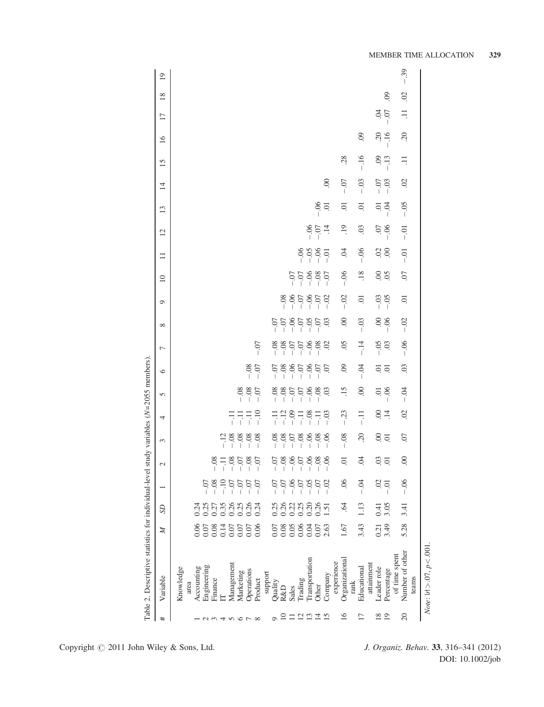|                 | Table 2. Descriptive statistics for individual-level study variables $(N=2055$ members) |                       |                           |                                                                                                                                                                                                                                                                                                                                                                                           |                |                |                |                     |                |                |                     |               |                 |                |                    |                |                 |                 |         |                |                |                 |
|-----------------|-----------------------------------------------------------------------------------------|-----------------------|---------------------------|-------------------------------------------------------------------------------------------------------------------------------------------------------------------------------------------------------------------------------------------------------------------------------------------------------------------------------------------------------------------------------------------|----------------|----------------|----------------|---------------------|----------------|----------------|---------------------|---------------|-----------------|----------------|--------------------|----------------|-----------------|-----------------|---------|----------------|----------------|-----------------|
| #               | Variable                                                                                | $\mathbb{Z}$          | SD                        |                                                                                                                                                                                                                                                                                                                                                                                           | $\mathcal{L}$  | $\mathfrak{c}$ | 4              | 5                   | $\circ$        | $\overline{ }$ | ${}^{\circ}$        | $\circ$       | $\overline{10}$ | $\Box$         | $\overline{c}$     | 13             | $\overline{14}$ | $\overline{15}$ | 16      | 17             | 18             | $\overline{19}$ |
|                 | Knowledge<br>area                                                                       |                       |                           |                                                                                                                                                                                                                                                                                                                                                                                           |                |                |                |                     |                |                |                     |               |                 |                |                    |                |                 |                 |         |                |                |                 |
|                 | Accounting                                                                              |                       |                           |                                                                                                                                                                                                                                                                                                                                                                                           |                |                |                |                     |                |                |                     |               |                 |                |                    |                |                 |                 |         |                |                |                 |
| $\sim$          | Engineering                                                                             | 88.00<br>0.07<br>0.08 | 3<br>2009<br>2009<br>2009 | Ō,<br>$\begin{array}{c} \hline \end{array}$                                                                                                                                                                                                                                                                                                                                               |                |                |                |                     |                |                |                     |               |                 |                |                    |                |                 |                 |         |                |                |                 |
| $\infty$        | Finance                                                                                 |                       |                           | 08<br>$\begin{array}{c} \hline \end{array}$                                                                                                                                                                                                                                                                                                                                               | $-0.8$         |                |                |                     |                |                |                     |               |                 |                |                    |                |                 |                 |         |                |                |                 |
| 4               | E                                                                                       |                       |                           | $\Xi$<br>$\begin{array}{c} \rule{0pt}{2.5ex} \rule{0pt}{2.5ex} \rule{0pt}{2.5ex} \rule{0pt}{2.5ex} \rule{0pt}{2.5ex} \rule{0pt}{2.5ex} \rule{0pt}{2.5ex} \rule{0pt}{2.5ex} \rule{0pt}{2.5ex} \rule{0pt}{2.5ex} \rule{0pt}{2.5ex} \rule{0pt}{2.5ex} \rule{0pt}{2.5ex} \rule{0pt}{2.5ex} \rule{0pt}{2.5ex} \rule{0pt}{2.5ex} \rule{0pt}{2.5ex} \rule{0pt}{2.5ex} \rule{0pt}{2.5ex} \rule{0$ | 류              | $-12$          |                |                     |                |                |                     |               |                 |                |                    |                |                 |                 |         |                |                |                 |
| $\sqrt{6}$      | Management                                                                              | 0.14                  |                           | $\rm 07$<br>$\begin{array}{c} \hline \end{array}$                                                                                                                                                                                                                                                                                                                                         | $-0.08$        | $-0.08$        | 큐              |                     |                |                |                     |               |                 |                |                    |                |                 |                 |         |                |                |                 |
|                 | Marketing                                                                               | 0.07                  |                           | $\overline{0}$<br>$\begin{array}{c} \hline \end{array}$                                                                                                                                                                                                                                                                                                                                   | $-0.07$        | $-0.08$        | 큐              | $-0.8$              |                |                |                     |               |                 |                |                    |                |                 |                 |         |                |                |                 |
| - r             | Operations                                                                              |                       |                           | $\overline{0}$<br>$\overline{\phantom{a}}$                                                                                                                                                                                                                                                                                                                                                | $-0.8$         | $-0.08$        | 큐              | $-0.8$              |                |                |                     |               |                 |                |                    |                |                 |                 |         |                |                |                 |
| $\infty$        | Product                                                                                 | 0.07                  | 0.24                      | CO.                                                                                                                                                                                                                                                                                                                                                                                       | $-0.07$        | $-0.08$        | $-10$          | $-0.07$             | $-0.08$        | $-0.7$         |                     |               |                 |                |                    |                |                 |                 |         |                |                |                 |
|                 | support                                                                                 |                       |                           |                                                                                                                                                                                                                                                                                                                                                                                           |                |                |                |                     |                |                |                     |               |                 |                |                    |                |                 |                 |         |                |                |                 |
|                 | Quality                                                                                 |                       |                           | CO.<br>$\overline{\phantom{a}}$                                                                                                                                                                                                                                                                                                                                                           | $-0.07$        | $-0.8$         | 큐              | $-0.8$              | $-0$           | $-0.8$         | $-0.07$             |               |                 |                |                    |                |                 |                 |         |                |                |                 |
|                 | R&D                                                                                     |                       |                           | CO.<br>$\mid$                                                                                                                                                                                                                                                                                                                                                                             | $-0.08$        | $-0.08$        | $-12$          | $-0.08$             | $-0.08$        | $-0.08$        | $-0.07$             | $-0.08$       |                 |                |                    |                |                 |                 |         |                |                |                 |
|                 | Sales                                                                                   | 50.05<br>2010         | 3833885<br>2000<br>2000   | $\approx$<br>$\overline{\phantom{a}}$                                                                                                                                                                                                                                                                                                                                                     | $-0.6$         | $-0$           | $-0.9$         | $-0.07$             | $-0.06$        | $-0.07$        | $-0.6$              | $-0.6$        | $-0.07$         |                |                    |                |                 |                 |         |                |                |                 |
| $\frac{2}{13}$  | Trading                                                                                 | 0.06                  |                           | $\overline{0}$<br>$\overline{\phantom{a}}$                                                                                                                                                                                                                                                                                                                                                | $-0.07$        | $-0.08$        | 큐              | $-0.07$             | $-0$           | $-0.07$        | $-0.07$             | $-0$          | $-0.07$         | $-0.6$         |                    |                |                 |                 |         |                |                |                 |
|                 | Transportation                                                                          |                       |                           | 05<br>$\overline{\phantom{a}}$                                                                                                                                                                                                                                                                                                                                                            | $-0.6$         | $-0.6$         | $-0.08$        | $-0.6$              | $-0.06$        | $-0.06$        | $-0.5$              | $-0.06$       | $-0.06$         |                |                    |                |                 |                 |         |                |                |                 |
| $\overline{4}$  | Other                                                                                   | 358<br>250            |                           | $07$<br>$\mid$                                                                                                                                                                                                                                                                                                                                                                            | $-0.08$        | $-0.08$        | 큐              | $-0.8$              | $-0$           | $-0.08$        | $-0.07$             | $-0$          | $-0.08$         | $-0.05 - 0.06$ | $-0.54$<br>$-0.74$ | $-0.6$         |                 |                 |         |                |                |                 |
| 15              | Company                                                                                 |                       |                           | $\mathcal{O}$                                                                                                                                                                                                                                                                                                                                                                             | $-0.06$        | $-06$          | $-03$          | $\ddot{\mathrm{c}}$ | S.             | S              | $\ddot{\mathrm{c}}$ | $-02$         | $-0.07$         | $-0$           |                    | $\Xi$          | 00              |                 |         |                |                |                 |
|                 | experience                                                                              |                       |                           |                                                                                                                                                                                                                                                                                                                                                                                           |                |                |                |                     |                |                |                     |               |                 |                |                    |                |                 |                 |         |                |                |                 |
| $\overline{16}$ | Organizationa<br>rank                                                                   | 1.67                  | Ş                         | $\overline{0}$                                                                                                                                                                                                                                                                                                                                                                            | $\overline{C}$ | $-0.08$        | $-23$          | 15                  | $\odot$        | 05             | $\odot$             | $-.02$        | $-0.06$         | $\ddot{9}$     | $\ddot{ }$         | $\overline{0}$ | $-0.07$         | .28             |         |                |                |                 |
| □               | Educational                                                                             | 3.43                  | 1.13                      | $-0.4$                                                                                                                                                                                                                                                                                                                                                                                    | $\overline{6}$ | $\overline{c}$ | F<br>F         | S                   | $-0.4$         | $-14$          | $-0.03$             | ā             | .18             | $-06$          | $\overline{0}$     | ā              | $-0.3$          | $-16$           | $\odot$ |                |                |                 |
|                 | attainment                                                                              |                       |                           |                                                                                                                                                                                                                                                                                                                                                                                           |                |                |                |                     |                |                |                     |               |                 |                |                    |                |                 |                 |         |                |                |                 |
| 18              | Leader role                                                                             | 0.21                  | 0.41                      | $\frac{2}{10}$                                                                                                                                                                                                                                                                                                                                                                            | $\frac{3}{2}$  | $\frac{5}{2}$  | S              | ą                   | ē.             | $-0.5$         | S.                  | $-03$<br>--05 | $\frac{50}{20}$ | $\frac{2}{5}$  | $rac{50}{10}$      | <u>s</u> ș     | $-0.7$          | $rac{8}{1}$     | 3.16    | Ś.             |                |                 |
| 19              | Percentage                                                                              | 3.49                  | 3.05                      |                                                                                                                                                                                                                                                                                                                                                                                           |                |                | $\ddot{=}$     | $-0.6$              |                | 03             | $-0.6$              |               |                 |                |                    |                |                 |                 |         | $\overline{C}$ | $\odot$        |                 |
| 20              | Number of other<br>of time spent                                                        | 5.28                  | 3.41                      | $-0.06$                                                                                                                                                                                                                                                                                                                                                                                   | $\odot$        | Ю.             | $\overline{0}$ | $-0.4$              | $\overline{0}$ | $-0.06$        | $-.02$              | 5.            | .07             | $-0.1$         | $-0.01$            | $-0.5$         | $\overline{0}$  | Ξ               | 20      | $\Xi$          | $\overline{0}$ | $-.39$          |
|                 | teams                                                                                   |                       |                           |                                                                                                                                                                                                                                                                                                                                                                                           |                |                |                |                     |                |                |                     |               |                 |                |                    |                |                 |                 |         |                |                |                 |
|                 | $Note:$ $ r  > .07, p < .001$                                                           |                       |                           |                                                                                                                                                                                                                                                                                                                                                                                           |                |                |                |                     |                |                |                     |               |                 |                |                    |                |                 |                 |         |                |                |                 |

for in distinct 10 J.  $\zeta$  $\ddot{\phantom{0}}$ Table

Copyright  $\odot$  2011 John Wiley & Sons, Ltd. J. Organiz. Behav. 33, 316–341 (2012)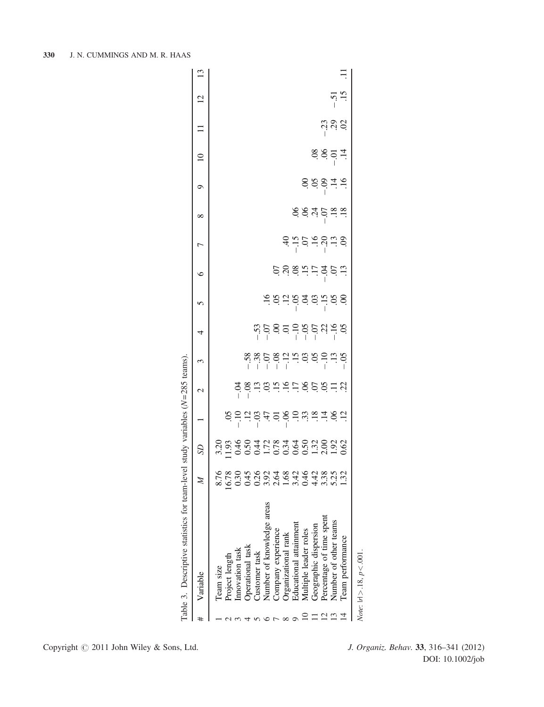| Table 3. Descriptive statistics for team-level study variables $(N=285$ teams) |                                                          |    |               |                   |   |   |                                               |                 |                                                                  |          |        |                |                                  |                |               |
|--------------------------------------------------------------------------------|----------------------------------------------------------|----|---------------|-------------------|---|---|-----------------------------------------------|-----------------|------------------------------------------------------------------|----------|--------|----------------|----------------------------------|----------------|---------------|
| Variable                                                                       | $\overline{M}$                                           | SD |               | $\mathbf{\Omega}$ | 3 | 4 | n                                             | ७               |                                                                  | $\infty$ | O      | $\overline{a}$ |                                  | $\overline{c}$ | $\mathbf{13}$ |
| Team size                                                                      |                                                          |    |               |                   |   |   |                                               |                 |                                                                  |          |        |                |                                  |                |               |
|                                                                                | exore da de de de dia dia<br>construcción de dia dia dia |    |               |                   |   |   |                                               |                 |                                                                  |          |        |                |                                  |                |               |
| Project length<br>Innovation task                                              |                                                          |    |               |                   |   |   |                                               |                 |                                                                  |          |        |                |                                  |                |               |
| perational task                                                                |                                                          |    |               |                   |   |   |                                               |                 |                                                                  |          |        |                |                                  |                |               |
| Justomer task                                                                  |                                                          |    |               |                   |   |   |                                               |                 |                                                                  |          |        |                |                                  |                |               |
| Number of knowledge areas                                                      |                                                          |    | 8928558933489 | 5899995965918     |   |   |                                               |                 |                                                                  |          |        |                |                                  |                |               |
| Company experience                                                             |                                                          |    |               |                   |   |   |                                               |                 |                                                                  |          |        |                |                                  |                |               |
| <b>Organizational</b> rank                                                     |                                                          |    |               |                   |   |   |                                               |                 |                                                                  |          |        |                |                                  |                |               |
| ducational attainment                                                          |                                                          |    |               |                   |   |   |                                               |                 |                                                                  |          |        |                |                                  |                |               |
| Aultiple leader roles                                                          |                                                          |    |               |                   |   |   |                                               |                 |                                                                  |          |        |                |                                  |                |               |
| Geographic dispersion                                                          |                                                          |    |               |                   |   |   | ត្តដូ <u>ត្តដូតដូ</u> ន្ត<br>ដូនដូន្តដូនដូន្ត | <u>gggddgdd</u> | $\frac{475}{10}$ $\frac{57}{10}$ $\frac{67}{10}$ $\frac{37}{10}$ | ggaeas   | 8.8877 |                |                                  |                |               |
| Percentage of time spent                                                       |                                                          |    |               |                   |   |   |                                               |                 |                                                                  |          |        |                |                                  |                |               |
| Number of other teams                                                          |                                                          |    |               |                   |   |   |                                               |                 |                                                                  |          |        | ू ३ व म<br>इ   | $\ddot{a}$ $\ddot{a}$ $\ddot{a}$ | $-51$<br>15    |               |
| Team performance                                                               |                                                          |    |               |                   |   |   |                                               |                 |                                                                  |          |        |                |                                  |                | 득             |
| Note: $ r  > 18$ , $p < 0.01$                                                  |                                                          |    |               |                   |   |   |                                               |                 |                                                                  |          |        |                |                                  |                |               |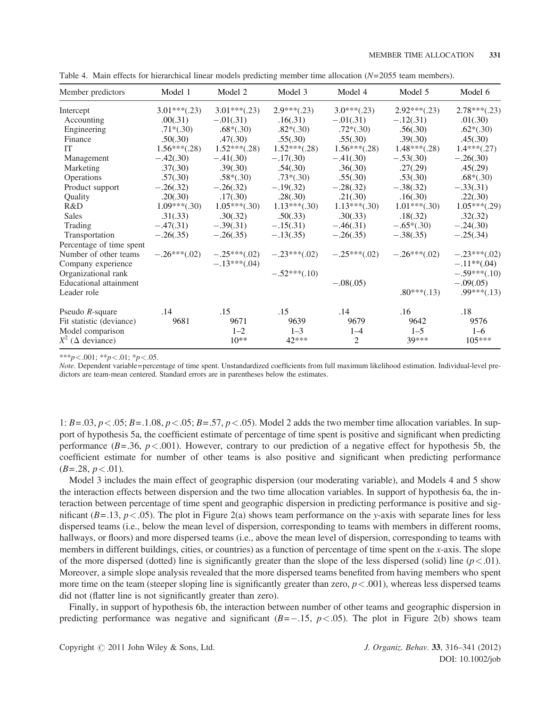| Member predictors          | Model 1        | Model 2        | Model 3        | Model 4        | Model 5        | Model 6        |
|----------------------------|----------------|----------------|----------------|----------------|----------------|----------------|
| Intercept                  | $3.01***(.23)$ | $3.01***(.23)$ | $2.9***(.23)$  | $3.0***(.23)$  | $2.92***(.23)$ | $2.78***(.23)$ |
| Accounting                 | .00(.31)       | $-.01(.31)$    | .16(.31)       | $-.01(.31)$    | $-.12(.31)$    | .01(.30)       |
| Engineering                | $.71*(.30)$    | $.68*(.30)$    | $.82*(.30)$    | $.72*(.30)$    | .56(.30)       | $.62*(.30)$    |
| Finance                    | .50(.30)       | .47(.30)       | .55(.30)       | .55(.30)       | .39(.30)       | .45(.30)       |
| <b>IT</b>                  | $1.56***(.28)$ | $1.52***(.28)$ | $1.52***(.28)$ | $1.56***(.28)$ | $1.48***(.28)$ | $1.4***(.27)$  |
| Management                 | $-.42(.30)$    | $-.41(.30)$    | $-.17(.30)$    | $-.41(.30)$    | $-.53(.30)$    | $-.26(.30)$    |
| Marketing                  | .37(.30)       | .39(.30)       | .54(.30)       | .36(.30)       | .27(.29)       | .45(.29)       |
| Operations                 | .57(.30)       | $.58*(.30)$    | $.73*(.30)$    | .55(.30)       | .53(.30)       | $.68*(.30)$    |
| Product support            | $-.26(.32)$    | $-.26(.32)$    | $-.19(.32)$    | $-.28(.32)$    | $-.38(.32)$    | $-.33(.31)$    |
| Quality                    | .20(.30)       | .17(.30)       | .28(.30)       | .21(.30)       | .16(.30)       | .22(.30)       |
| R&D                        | $1.09***(.30)$ | $1.05***(.30)$ | $1.13***(.30)$ | $1.13***(.30)$ | $1.01***(.30)$ | $1.05***(.29)$ |
| <b>Sales</b>               | .31(.33)       | .30(.32)       | .50(.33)       | .30(.33)       | .18(.32)       | .32(.32)       |
| Trading                    | $-.47(.31)$    | $-.39(.31)$    | $-.15(.31)$    | $-.46(.31)$    | $-.65*(.30)$   | $-.24(.30)$    |
| Transportation             | $-.26(.35)$    | $-.26(.35)$    | $-.13(.35)$    | $-.26(.35)$    | $-.38(.35)$    | $-.25(.34)$    |
| Percentage of time spent   |                |                |                |                |                |                |
| Number of other teams      | $-.26***(.02)$ | $-.25***(.02)$ | $-.23***(.02)$ | $-.25***(.02)$ | $-.26***(.02)$ | $-.23***(.02)$ |
| Company experience         |                | $-.13***(.04)$ |                |                |                | $-.11**(.04)$  |
| Organizational rank        |                |                | $-.52***(.10)$ |                |                | $-.59***(.10)$ |
| Educational attainment     |                |                |                | $-.08(.05)$    |                | $-.09(.05)$    |
| Leader role                |                |                |                |                | $.80***(.13)$  | $.99***(.13)$  |
| Pseudo R-square            | .14            | .15            | .15            | .14            | .16            | .18            |
| Fit statistic (deviance)   | 9681           | 9671           | 9639           | 9679           | 9642           | 9576           |
| Model comparison           |                | $1 - 2$        | $1 - 3$        | $1 - 4$        | $1 - 5$        | $1 - 6$        |
| $X^2$ ( $\Delta$ deviance) |                | $10**$         | 42 ***         | 2              | 39***          | $105***$       |

Table 4. Main effects for hierarchical linear models predicting member time allocation  $(N=2055$  team members).

\*\*\*p <.001; \*\*p <.01; \*p <.05.

Note. Dependent variable=percentage of time spent. Unstandardized coefficients from full maximum likelihood estimation. Individual-level predictors are team-mean centered. Standard errors are in parentheses below the estimates.

1:  $B = .03$ ,  $p < .05$ ;  $B = .1.08$ ,  $p < .05$ ;  $B = .57$ ,  $p < .05$ ). Model 2 adds the two member time allocation variables. In support of hypothesis 5a, the coefficient estimate of percentage of time spent is positive and significant when predicting performance  $(B=.36, p<.001)$ . However, contrary to our prediction of a negative effect for hypothesis 5b, the coefficient estimate for number of other teams is also positive and significant when predicting performance  $(B=.28, p<.01)$ .

Model 3 includes the main effect of geographic dispersion (our moderating variable), and Models 4 and 5 show the interaction effects between dispersion and the two time allocation variables. In support of hypothesis 6a, the interaction between percentage of time spent and geographic dispersion in predicting performance is positive and significant ( $B = .13$ ,  $p < .05$ ). The plot in Figure 2(a) shows team performance on the y-axis with separate lines for less dispersed teams (i.e., below the mean level of dispersion, corresponding to teams with members in different rooms, hallways, or floors) and more dispersed teams (i.e., above the mean level of dispersion, corresponding to teams with members in different buildings, cities, or countries) as a function of percentage of time spent on the  $x$ -axis. The slope of the more dispersed (dotted) line is significantly greater than the slope of the less dispersed (solid) line  $(p<.01)$ . Moreover, a simple slope analysis revealed that the more dispersed teams benefited from having members who spent more time on the team (steeper sloping line is significantly greater than zero,  $p < .001$ ), whereas less dispersed teams did not (flatter line is not significantly greater than zero).

Finally, in support of hypothesis 6b, the interaction between number of other teams and geographic dispersion in predicting performance was negative and significant  $(B=-.15, p<.05)$ . The plot in Figure 2(b) shows team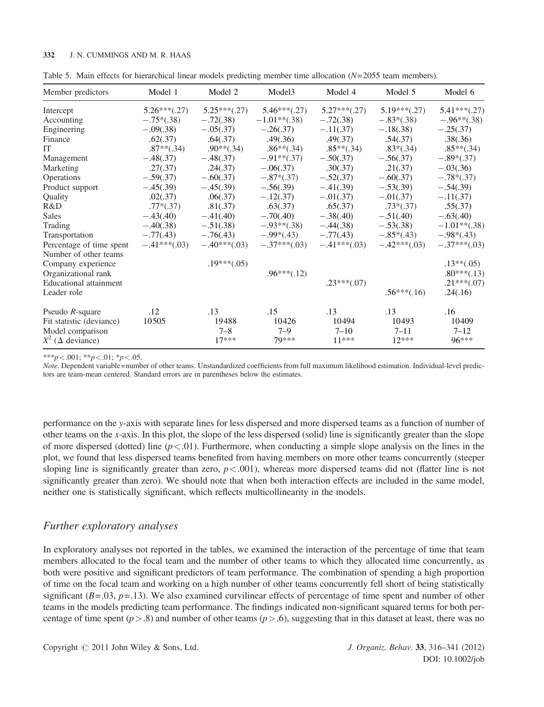| Member predictors          | Model 1        | Model 2        | Model <sub>3</sub> | Model 4        | Model 5        | Model 6        |
|----------------------------|----------------|----------------|--------------------|----------------|----------------|----------------|
| Intercept                  | $5.26***(.27)$ | $5.25***(.27)$ | $5.46***(.27)$     | $5.27***(.27)$ | $5.19***(.27)$ | $5.41***(.27)$ |
| Accounting                 | $-.75*(.38)$   | $-.72(.38)$    | $-1.01**(.38)$     | $-.72(.38)$    | $-.83*(.38)$   | $-.96**(.38)$  |
| Engineering                | $-.09(.38)$    | $-.05(.37)$    | $-.26(.37)$        | $-.11(.37)$    | $-.18(.38)$    | $-.25(.37)$    |
| Finance                    | .62(.37)       | .64(.37)       | .49(.36)           | .49(.37)       | .54(.37)       | .38(.36)       |
| <b>IT</b>                  | $.87**(.34)$   | $.90**(.34)$   | $.86**(.34)$       | $.85**(.34)$   | $.83*(.34)$    | $.85**(.34)$   |
| Management                 | $-.48(.37)$    | $-.48(.37)$    | $-.91**(.37)$      | $-.50(.37)$    | $-.56(.37)$    | $-.89*(.37)$   |
| Marketing                  | .27(.37)       | .24(.37)       | $-.06(.37)$        | .30(.37)       | .21(.37)       | $-.03(.36)$    |
| <b>Operations</b>          | $-.59(.37)$    | $-.60(.37)$    | $-.87*(.37)$       | $-.52(.37)$    | $-.60(.37)$    | $-.78*(.37)$   |
| Product support            | $-.45(.39)$    | $-.45(.39)$    | $-.56(.39)$        | $-.41(.39)$    | $-.53(.39)$    | $-.54(.39)$    |
| Quality                    | .02(.37)       | .06(.37)       | $-.12(.37)$        | $-.01(.37)$    | $-.01(.37)$    | $-.11(.37)$    |
| R&D                        | $.77*(.37)$    | .81(.37)       | .63(.37)           | .65(.37)       | $.73*(.37)$    | .55(.37)       |
| <b>Sales</b>               | $-.43(.40)$    | $-.41(.40)$    | $-.70(.40)$        | $-.38(.40)$    | $-.51(.40)$    | $-.63(.40)$    |
| Trading                    | $-.40(.38)$    | $-.51(.38)$    | $-.93**(.38)$      | $-.44(.38)$    | $-.53(.38)$    | $-1.01**(.38)$ |
| Transportation             | $-.77(.43)$    | $-.76(.43)$    | $-.99*(.43)$       | $-.77(.43)$    | $-.85*(.43)$   | $-.98*(.43)$   |
| Percentage of time spent   | $-.41***(.03)$ | $-.40***(.03)$ | $-.37***(.03)$     | $-.41***(.03)$ | $-.42***(.03)$ | $-.37***(.03)$ |
| Number of other teams      |                |                |                    |                |                |                |
| Company experience         |                | $.19***(.05)$  |                    |                |                | $.13**(.05)$   |
| Organizational rank        |                |                | $.96***(.12)$      |                |                | $.80***(.13)$  |
| Educational attainment     |                |                |                    | $.23***(.07)$  |                | $.21***(.07)$  |
| Leader role                |                |                |                    |                | $.56***(.16)$  | .24(.16)       |
| Pseudo R-square            | .12            | .13            | .15                | .13            | .13            | .16            |
| Fit statistic (deviance)   | 10505          | 19488          | 10426              | 10494          | 10493          | 10409          |
| Model comparison           |                | $7 - 8$        | $7 - 9$            | $7 - 10$       | $7 - 11$       | $7 - 12$       |
| $X^2$ ( $\Delta$ deviance) |                | $17***$        | 79***              | $11***$        | $12***$        | $96***$        |

Table 5. Main effects for hierarchical linear models predicting member time allocation  $(N=2055$  team members).

\*\*\*p <.001; \*\*p <.01; \*p <.05.

Note. Dependent variable=number of other teams. Unstandardized coefficients from full maximum likelihood estimation. Individual-level predictors are team-mean centered. Standard errors are in parentheses below the estimates.

performance on the y-axis with separate lines for less dispersed and more dispersed teams as a function of number of other teams on the x-axis. In this plot, the slope of the less dispersed (solid) line is significantly greater than the slope of more dispersed (dotted) line  $(p<.01)$ . Furthermore, when conducting a simple slope analysis on the lines in the plot, we found that less dispersed teams benefited from having members on more other teams concurrently (steeper sloping line is significantly greater than zero,  $p < .001$ ), whereas more dispersed teams did not (flatter line is not significantly greater than zero). We should note that when both interaction effects are included in the same model, neither one is statistically significant, which reflects multicollinearity in the models.

### Further exploratory analyses

In exploratory analyses not reported in the tables, we examined the interaction of the percentage of time that team members allocated to the focal team and the number of other teams to which they allocated time concurrently, as both were positive and significant predictors of team performance. The combination of spending a high proportion of time on the focal team and working on a high number of other teams concurrently fell short of being statistically significant  $(B=.03, p=.13)$ . We also examined curvilinear effects of percentage of time spent and number of other teams in the models predicting team performance. The findings indicated non-significant squared terms for both percentage of time spent ( $p>0.8$ ) and number of other teams ( $p>0.6$ ), suggesting that in this dataset at least, there was no

Copyright  $\odot$  2011 John Wiley & Sons, Ltd.  $J.$  Organiz. Behav. 33, 316–341 (2012)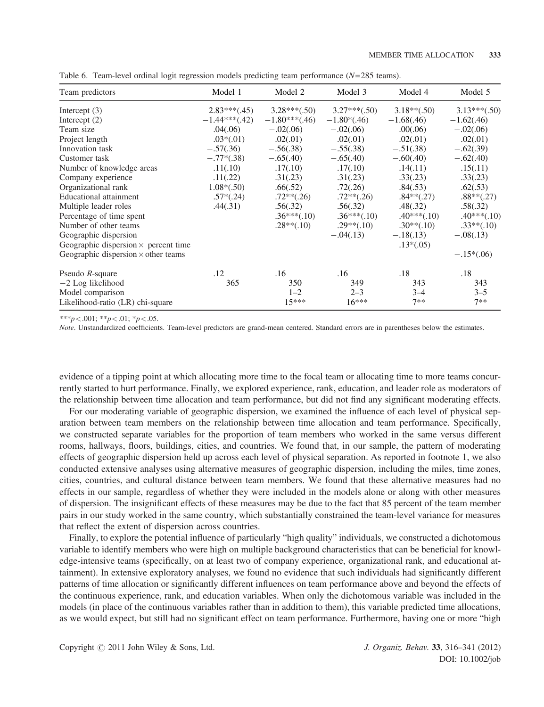| Team predictors                             | Model 1          | Model 2         | Model 3          | Model 4        | Model 5         |
|---------------------------------------------|------------------|-----------------|------------------|----------------|-----------------|
| Intercept $(3)$                             | $-2.83***(0.45)$ | $-3.28***(.50)$ | $-3.27***(0.50)$ | $-3.18**(.50)$ | $-3.13***(.50)$ |
| Intercept $(2)$                             | $-1.44***(.42)$  | $-1.80***(.46)$ | $-1.80*(.46)$    | $-1.68(.46)$   | $-1.62(.46)$    |
| Team size                                   | .04(.06)         | $-.02(.06)$     | $-.02(.06)$      | .00(.06)       | $-.02(.06)$     |
| Project length                              | $.03*(.01)$      | .02(.01)        | .02(.01)         | .02(.01)       | .02(.01)        |
| Innovation task                             | $-.57(.36)$      | $-.56(.38)$     | $-.55(.38)$      | $-.51(.38)$    | $-.62(.39)$     |
| Customer task                               | $-.77*(.38)$     | $-.65(.40)$     | $-.65(.40)$      | $-.60(.40)$    | $-.62(.40)$     |
| Number of knowledge areas                   | .11(.10)         | .17(.10)        | .17(.10)         | .14(.11)       | .15(.11)        |
| Company experience                          | .11(.22)         | .31(.23)        | .31(.23)         | .33(.23)       | .33(.23)        |
| Organizational rank                         | $1.08*(.50)$     | .66(.52)        | .72(.26)         | .84(.53)       | .62(.53)        |
| Educational attainment                      | $.57*(.24)$      | $.72**(.26)$    | $.72**(.26)$     | $.84**(.27)$   | $.88**(.27)$    |
| Multiple leader roles                       | .44(.31)         | .56(.32)        | .56(.32)         | .48(.32)       | .58(.32)        |
| Percentage of time spent                    |                  | $.36***(.10)$   | $.36***(.10)$    | $.40***(.10)$  | $.40***(.10)$   |
| Number of other teams                       |                  | $.28**(.10)$    | $.29**(.10)$     | $.30**(.10)$   | $.33**(.10)$    |
| Geographic dispersion                       |                  |                 | $-.04(.13)$      | $-.18(.13)$    | $-.08(.13)$     |
| Geographic dispersion $\times$ percent time |                  |                 |                  | $.13*(.05)$    |                 |
| Geographic dispersion $\times$ other teams  |                  |                 |                  |                | $-.15*(.06)$    |
| Pseudo R-square                             | .12              | .16             | .16              | .18            | .18             |
| $-2$ Log likelihood                         | 365              | 350             | 349              | 343            | 343             |
| Model comparison                            |                  | $1 - 2$         | $2 - 3$          | $3 - 4$        | $3 - 5$         |
| Likelihood-ratio (LR) chi-square            |                  | $15***$         | $16***$          | $7**$          | $7**$           |

Table 6. Team-level ordinal logit regression models predicting team performance  $(N=285 \text{ teams})$ .

\*\*\*p <.001; \*\*p <.01; \*p <.05.

Note. Unstandardized coefficients. Team-level predictors are grand-mean centered. Standard errors are in parentheses below the estimates.

evidence of a tipping point at which allocating more time to the focal team or allocating time to more teams concurrently started to hurt performance. Finally, we explored experience, rank, education, and leader role as moderators of the relationship between time allocation and team performance, but did not find any significant moderating effects.

For our moderating variable of geographic dispersion, we examined the influence of each level of physical separation between team members on the relationship between time allocation and team performance. Specifically, we constructed separate variables for the proportion of team members who worked in the same versus different rooms, hallways, floors, buildings, cities, and countries. We found that, in our sample, the pattern of moderating effects of geographic dispersion held up across each level of physical separation. As reported in footnote 1, we also conducted extensive analyses using alternative measures of geographic dispersion, including the miles, time zones, cities, countries, and cultural distance between team members. We found that these alternative measures had no effects in our sample, regardless of whether they were included in the models alone or along with other measures of dispersion. The insignificant effects of these measures may be due to the fact that 85 percent of the team member pairs in our study worked in the same country, which substantially constrained the team-level variance for measures that reflect the extent of dispersion across countries.

Finally, to explore the potential influence of particularly "high quality" individuals, we constructed a dichotomous variable to identify members who were high on multiple background characteristics that can be beneficial for knowledge-intensive teams (specifically, on at least two of company experience, organizational rank, and educational attainment). In extensive exploratory analyses, we found no evidence that such individuals had significantly different patterns of time allocation or significantly different influences on team performance above and beyond the effects of the continuous experience, rank, and education variables. When only the dichotomous variable was included in the models (in place of the continuous variables rather than in addition to them), this variable predicted time allocations, as we would expect, but still had no significant effect on team performance. Furthermore, having one or more "high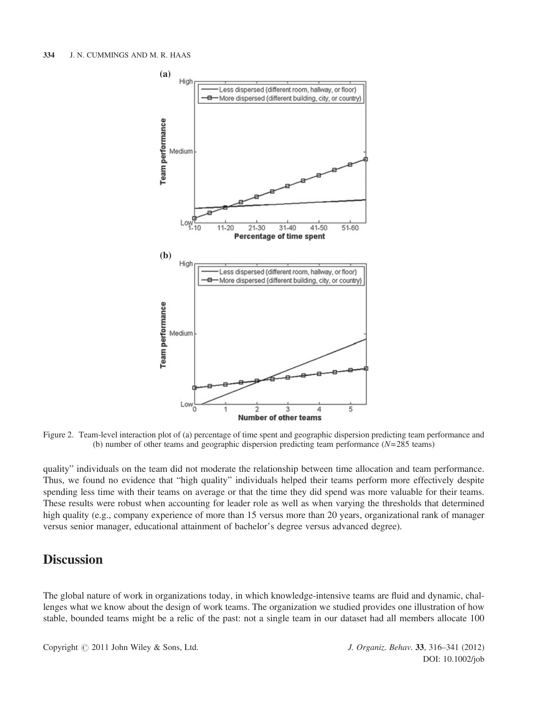

Figure 2. Team-level interaction plot of (a) percentage of time spent and geographic dispersion predicting team performance and (b) number of other teams and geographic dispersion predicting team performance  $(N=285 \text{ teams})$ 

quality" individuals on the team did not moderate the relationship between time allocation and team performance. Thus, we found no evidence that "high quality" individuals helped their teams perform more effectively despite spending less time with their teams on average or that the time they did spend was more valuable for their teams. These results were robust when accounting for leader role as well as when varying the thresholds that determined high quality (e.g., company experience of more than 15 versus more than 20 years, organizational rank of manager versus senior manager, educational attainment of bachelor's degree versus advanced degree).

# **Discussion**

The global nature of work in organizations today, in which knowledge-intensive teams are fluid and dynamic, challenges what we know about the design of work teams. The organization we studied provides one illustration of how stable, bounded teams might be a relic of the past: not a single team in our dataset had all members allocate 100

Copyright  $\odot$  2011 John Wiley & Sons, Ltd.  $J.$  Organiz. Behav. 33, 316–341 (2012)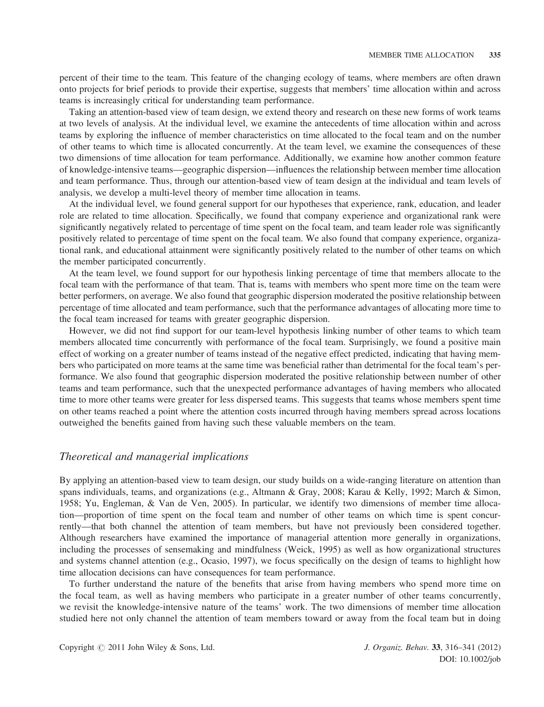percent of their time to the team. This feature of the changing ecology of teams, where members are often drawn onto projects for brief periods to provide their expertise, suggests that members' time allocation within and across teams is increasingly critical for understanding team performance.

Taking an attention-based view of team design, we extend theory and research on these new forms of work teams at two levels of analysis. At the individual level, we examine the antecedents of time allocation within and across teams by exploring the influence of member characteristics on time allocated to the focal team and on the number of other teams to which time is allocated concurrently. At the team level, we examine the consequences of these two dimensions of time allocation for team performance. Additionally, we examine how another common feature of knowledge-intensive teams—geographic dispersion—influences the relationship between member time allocation and team performance. Thus, through our attention-based view of team design at the individual and team levels of analysis, we develop a multi-level theory of member time allocation in teams.

At the individual level, we found general support for our hypotheses that experience, rank, education, and leader role are related to time allocation. Specifically, we found that company experience and organizational rank were significantly negatively related to percentage of time spent on the focal team, and team leader role was significantly positively related to percentage of time spent on the focal team. We also found that company experience, organizational rank, and educational attainment were significantly positively related to the number of other teams on which the member participated concurrently.

At the team level, we found support for our hypothesis linking percentage of time that members allocate to the focal team with the performance of that team. That is, teams with members who spent more time on the team were better performers, on average. We also found that geographic dispersion moderated the positive relationship between percentage of time allocated and team performance, such that the performance advantages of allocating more time to the focal team increased for teams with greater geographic dispersion.

However, we did not find support for our team-level hypothesis linking number of other teams to which team members allocated time concurrently with performance of the focal team. Surprisingly, we found a positive main effect of working on a greater number of teams instead of the negative effect predicted, indicating that having members who participated on more teams at the same time was beneficial rather than detrimental for the focal team's performance. We also found that geographic dispersion moderated the positive relationship between number of other teams and team performance, such that the unexpected performance advantages of having members who allocated time to more other teams were greater for less dispersed teams. This suggests that teams whose members spent time on other teams reached a point where the attention costs incurred through having members spread across locations outweighed the benefits gained from having such these valuable members on the team.

### Theoretical and managerial implications

By applying an attention-based view to team design, our study builds on a wide-ranging literature on attention than spans individuals, teams, and organizations (e.g., Altmann & Gray, 2008; Karau & Kelly, 1992; March & Simon, 1958; Yu, Engleman, & Van de Ven, 2005). In particular, we identify two dimensions of member time allocation—proportion of time spent on the focal team and number of other teams on which time is spent concurrently—that both channel the attention of team members, but have not previously been considered together. Although researchers have examined the importance of managerial attention more generally in organizations, including the processes of sensemaking and mindfulness (Weick, 1995) as well as how organizational structures and systems channel attention (e.g., Ocasio, 1997), we focus specifically on the design of teams to highlight how time allocation decisions can have consequences for team performance.

To further understand the nature of the benefits that arise from having members who spend more time on the focal team, as well as having members who participate in a greater number of other teams concurrently, we revisit the knowledge-intensive nature of the teams' work. The two dimensions of member time allocation studied here not only channel the attention of team members toward or away from the focal team but in doing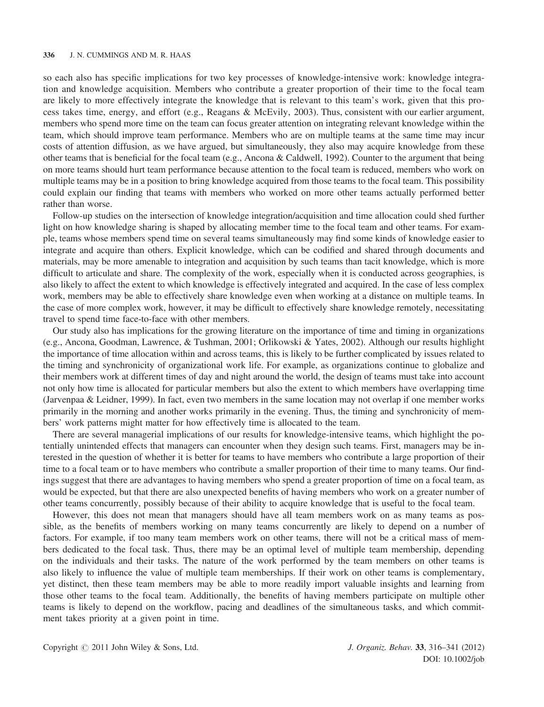so each also has specific implications for two key processes of knowledge-intensive work: knowledge integration and knowledge acquisition. Members who contribute a greater proportion of their time to the focal team are likely to more effectively integrate the knowledge that is relevant to this team's work, given that this process takes time, energy, and effort (e.g., Reagans & McEvily, 2003). Thus, consistent with our earlier argument, members who spend more time on the team can focus greater attention on integrating relevant knowledge within the team, which should improve team performance. Members who are on multiple teams at the same time may incur costs of attention diffusion, as we have argued, but simultaneously, they also may acquire knowledge from these other teams that is beneficial for the focal team (e.g., Ancona & Caldwell, 1992). Counter to the argument that being on more teams should hurt team performance because attention to the focal team is reduced, members who work on multiple teams may be in a position to bring knowledge acquired from those teams to the focal team. This possibility could explain our finding that teams with members who worked on more other teams actually performed better rather than worse.

Follow-up studies on the intersection of knowledge integration/acquisition and time allocation could shed further light on how knowledge sharing is shaped by allocating member time to the focal team and other teams. For example, teams whose members spend time on several teams simultaneously may find some kinds of knowledge easier to integrate and acquire than others. Explicit knowledge, which can be codified and shared through documents and materials, may be more amenable to integration and acquisition by such teams than tacit knowledge, which is more difficult to articulate and share. The complexity of the work, especially when it is conducted across geographies, is also likely to affect the extent to which knowledge is effectively integrated and acquired. In the case of less complex work, members may be able to effectively share knowledge even when working at a distance on multiple teams. In the case of more complex work, however, it may be difficult to effectively share knowledge remotely, necessitating travel to spend time face-to-face with other members.

Our study also has implications for the growing literature on the importance of time and timing in organizations (e.g., Ancona, Goodman, Lawrence, & Tushman, 2001; Orlikowski & Yates, 2002). Although our results highlight the importance of time allocation within and across teams, this is likely to be further complicated by issues related to the timing and synchronicity of organizational work life. For example, as organizations continue to globalize and their members work at different times of day and night around the world, the design of teams must take into account not only how time is allocated for particular members but also the extent to which members have overlapping time (Jarvenpaa & Leidner, 1999). In fact, even two members in the same location may not overlap if one member works primarily in the morning and another works primarily in the evening. Thus, the timing and synchronicity of members' work patterns might matter for how effectively time is allocated to the team.

There are several managerial implications of our results for knowledge-intensive teams, which highlight the potentially unintended effects that managers can encounter when they design such teams. First, managers may be interested in the question of whether it is better for teams to have members who contribute a large proportion of their time to a focal team or to have members who contribute a smaller proportion of their time to many teams. Our findings suggest that there are advantages to having members who spend a greater proportion of time on a focal team, as would be expected, but that there are also unexpected benefits of having members who work on a greater number of other teams concurrently, possibly because of their ability to acquire knowledge that is useful to the focal team.

However, this does not mean that managers should have all team members work on as many teams as possible, as the benefits of members working on many teams concurrently are likely to depend on a number of factors. For example, if too many team members work on other teams, there will not be a critical mass of members dedicated to the focal task. Thus, there may be an optimal level of multiple team membership, depending on the individuals and their tasks. The nature of the work performed by the team members on other teams is also likely to influence the value of multiple team memberships. If their work on other teams is complementary, yet distinct, then these team members may be able to more readily import valuable insights and learning from those other teams to the focal team. Additionally, the benefits of having members participate on multiple other teams is likely to depend on the workflow, pacing and deadlines of the simultaneous tasks, and which commitment takes priority at a given point in time.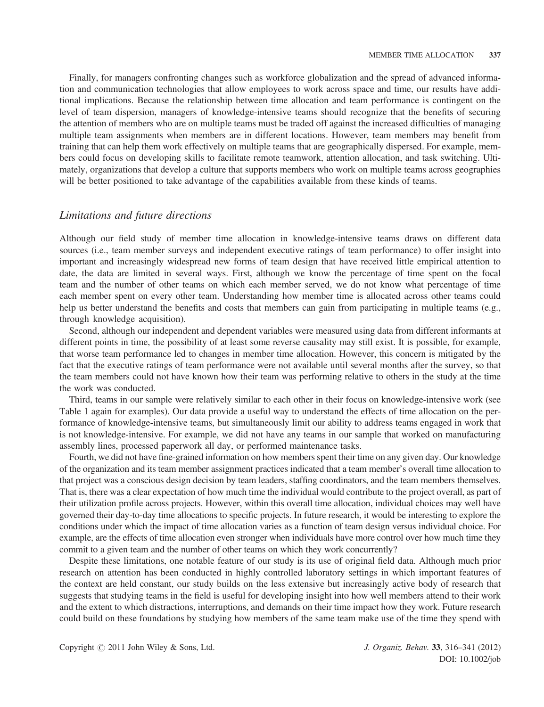Finally, for managers confronting changes such as workforce globalization and the spread of advanced information and communication technologies that allow employees to work across space and time, our results have additional implications. Because the relationship between time allocation and team performance is contingent on the level of team dispersion, managers of knowledge-intensive teams should recognize that the benefits of securing the attention of members who are on multiple teams must be traded off against the increased difficulties of managing multiple team assignments when members are in different locations. However, team members may benefit from training that can help them work effectively on multiple teams that are geographically dispersed. For example, members could focus on developing skills to facilitate remote teamwork, attention allocation, and task switching. Ultimately, organizations that develop a culture that supports members who work on multiple teams across geographies will be better positioned to take advantage of the capabilities available from these kinds of teams.

#### Limitations and future directions

Although our field study of member time allocation in knowledge-intensive teams draws on different data sources (i.e., team member surveys and independent executive ratings of team performance) to offer insight into important and increasingly widespread new forms of team design that have received little empirical attention to date, the data are limited in several ways. First, although we know the percentage of time spent on the focal team and the number of other teams on which each member served, we do not know what percentage of time each member spent on every other team. Understanding how member time is allocated across other teams could help us better understand the benefits and costs that members can gain from participating in multiple teams (e.g., through knowledge acquisition).

Second, although our independent and dependent variables were measured using data from different informants at different points in time, the possibility of at least some reverse causality may still exist. It is possible, for example, that worse team performance led to changes in member time allocation. However, this concern is mitigated by the fact that the executive ratings of team performance were not available until several months after the survey, so that the team members could not have known how their team was performing relative to others in the study at the time the work was conducted.

Third, teams in our sample were relatively similar to each other in their focus on knowledge-intensive work (see Table 1 again for examples). Our data provide a useful way to understand the effects of time allocation on the performance of knowledge-intensive teams, but simultaneously limit our ability to address teams engaged in work that is not knowledge-intensive. For example, we did not have any teams in our sample that worked on manufacturing assembly lines, processed paperwork all day, or performed maintenance tasks.

Fourth, we did not have fine-grained information on how members spent their time on any given day. Our knowledge of the organization and its team member assignment practices indicated that a team member's overall time allocation to that project was a conscious design decision by team leaders, staffing coordinators, and the team members themselves. That is, there was a clear expectation of how much time the individual would contribute to the project overall, as part of their utilization profile across projects. However, within this overall time allocation, individual choices may well have governed their day-to-day time allocations to specific projects. In future research, it would be interesting to explore the conditions under which the impact of time allocation varies as a function of team design versus individual choice. For example, are the effects of time allocation even stronger when individuals have more control over how much time they commit to a given team and the number of other teams on which they work concurrently?

Despite these limitations, one notable feature of our study is its use of original field data. Although much prior research on attention has been conducted in highly controlled laboratory settings in which important features of the context are held constant, our study builds on the less extensive but increasingly active body of research that suggests that studying teams in the field is useful for developing insight into how well members attend to their work and the extent to which distractions, interruptions, and demands on their time impact how they work. Future research could build on these foundations by studying how members of the same team make use of the time they spend with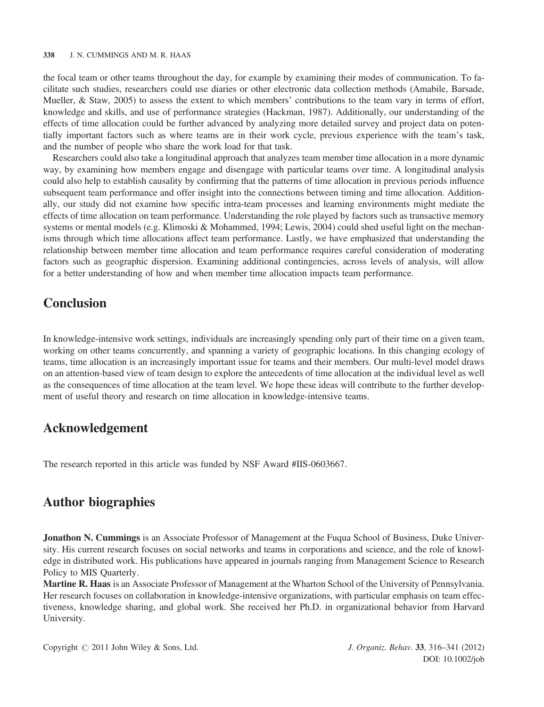the focal team or other teams throughout the day, for example by examining their modes of communication. To facilitate such studies, researchers could use diaries or other electronic data collection methods (Amabile, Barsade, Mueller, & Staw, 2005) to assess the extent to which members' contributions to the team vary in terms of effort, knowledge and skills, and use of performance strategies (Hackman, 1987). Additionally, our understanding of the effects of time allocation could be further advanced by analyzing more detailed survey and project data on potentially important factors such as where teams are in their work cycle, previous experience with the team's task, and the number of people who share the work load for that task.

Researchers could also take a longitudinal approach that analyzes team member time allocation in a more dynamic way, by examining how members engage and disengage with particular teams over time. A longitudinal analysis could also help to establish causality by confirming that the patterns of time allocation in previous periods influence subsequent team performance and offer insight into the connections between timing and time allocation. Additionally, our study did not examine how specific intra-team processes and learning environments might mediate the effects of time allocation on team performance. Understanding the role played by factors such as transactive memory systems or mental models (e.g. Klimoski & Mohammed, 1994; Lewis, 2004) could shed useful light on the mechanisms through which time allocations affect team performance. Lastly, we have emphasized that understanding the relationship between member time allocation and team performance requires careful consideration of moderating factors such as geographic dispersion. Examining additional contingencies, across levels of analysis, will allow for a better understanding of how and when member time allocation impacts team performance.

# **Conclusion**

In knowledge-intensive work settings, individuals are increasingly spending only part of their time on a given team, working on other teams concurrently, and spanning a variety of geographic locations. In this changing ecology of teams, time allocation is an increasingly important issue for teams and their members. Our multi-level model draws on an attention-based view of team design to explore the antecedents of time allocation at the individual level as well as the consequences of time allocation at the team level. We hope these ideas will contribute to the further development of useful theory and research on time allocation in knowledge-intensive teams.

# Acknowledgement

The research reported in this article was funded by NSF Award #IIS-0603667.

# Author biographies

Jonathon N. Cummings is an Associate Professor of Management at the Fuqua School of Business, Duke University. His current research focuses on social networks and teams in corporations and science, and the role of knowledge in distributed work. His publications have appeared in journals ranging from Management Science to Research Policy to MIS Quarterly.

Martine R. Haas is an Associate Professor of Management at the Wharton School of the University of Pennsylvania. Her research focuses on collaboration in knowledge-intensive organizations, with particular emphasis on team effectiveness, knowledge sharing, and global work. She received her Ph.D. in organizational behavior from Harvard University.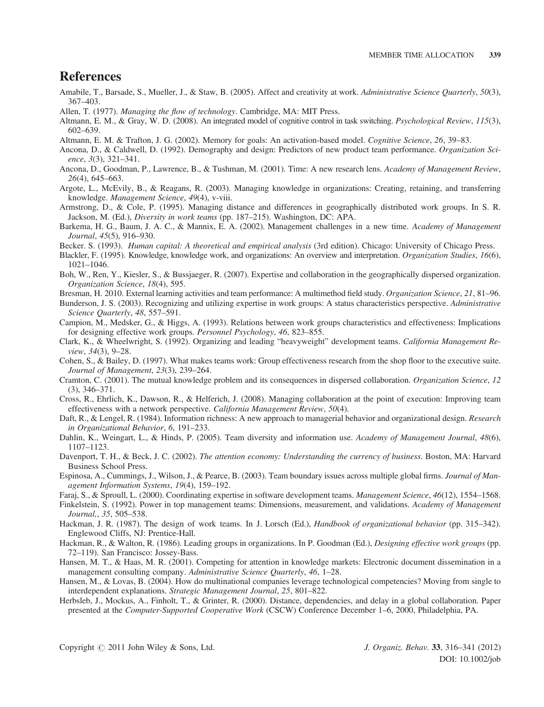# **References**

- Amabile, T., Barsade, S., Mueller, J., & Staw, B. (2005). Affect and creativity at work. Administrative Science Quarterly, 50(3), 367–403.
- Allen, T. (1977). Managing the flow of technology. Cambridge, MA: MIT Press.
- Altmann, E. M., & Gray, W. D. (2008). An integrated model of cognitive control in task switching. Psychological Review, 115(3), 602–639.
- Altmann, E. M. & Trafton, J. G. (2002). Memory for goals: An activation-based model. Cognitive Science, 26, 39–83.
- Ancona, D., & Caldwell, D. (1992). Demography and design: Predictors of new product team performance. Organization Science, 3(3), 321–341.
- Ancona, D., Goodman, P., Lawrence, B., & Tushman, M. (2001). Time: A new research lens. Academy of Management Review, 26(4), 645–663.
- Argote, L., McEvily, B., & Reagans, R. (2003). Managing knowledge in organizations: Creating, retaining, and transferring knowledge. Management Science, 49(4), v-viii.
- Armstrong, D., & Cole, P. (1995). Managing distance and differences in geographically distributed work groups. In S. R. Jackson, M. (Ed.), Diversity in work teams (pp. 187–215). Washington, DC: APA.
- Barkema, H. G., Baum, J. A. C., & Mannix, E. A. (2002). Management challenges in a new time. Academy of Management Journal, 45(5), 916–930.
- Becker. S. (1993). *Human capital: A theoretical and empirical analysis* (3rd edition). Chicago: University of Chicago Press.
- Blackler, F. (1995). Knowledge, knowledge work, and organizations: An overview and interpretation. *Organization Studies*, 16(6), 1021–1046.
- Boh, W., Ren, Y., Kiesler, S., & Bussjaeger, R. (2007). Expertise and collaboration in the geographically dispersed organization. Organization Science, 18(4), 595.
- Bresman, H. 2010. External learning activities and team performance: A multimethod field study. *Organization Science*, 21, 81–96.
- Bunderson, J. S. (2003). Recognizing and utilizing expertise in work groups: A status characteristics perspective. Administrative Science Quarterly, 48, 557–591.
- Campion, M., Medsker, G., & Higgs, A. (1993). Relations between work groups characteristics and effectiveness: Implications for designing effective work groups. Personnel Psychology, 46, 823–855.
- Clark, K., & Wheelwright, S. (1992). Organizing and leading "heavyweight" development teams. California Management Review, 34(3), 9–28.
- Cohen, S., & Bailey, D. (1997). What makes teams work: Group effectiveness research from the shop floor to the executive suite. Journal of Management, 23(3), 239–264.
- Cramton, C. (2001). The mutual knowledge problem and its consequences in dispersed collaboration. Organization Science, 12 (3), 346–371.
- Cross, R., Ehrlich, K., Dawson, R., & Helferich, J. (2008). Managing collaboration at the point of execution: Improving team effectiveness with a network perspective. California Management Review, 50(4).
- Daft, R., & Lengel, R. (1984). Information richness: A new approach to managerial behavior and organizational design. Research in Organizational Behavior, 6, 191–233.
- Dahlin, K., Weingart, L., & Hinds, P. (2005). Team diversity and information use. Academy of Management Journal, 48(6), 1107–1123.
- Davenport, T. H., & Beck, J. C. (2002). The attention economy: Understanding the currency of business. Boston, MA: Harvard Business School Press.
- Espinosa, A., Cummings, J., Wilson, J., & Pearce, B. (2003). Team boundary issues across multiple global firms. Journal of Management Information Systems, 19(4), 159–192.
- Faraj, S., & Sproull, L. (2000). Coordinating expertise in software development teams. Management Science, 46(12), 1554–1568.
- Finkelstein, S. (1992). Power in top management teams: Dimensions, measurement, and validations. Academy of Management Journal,, 35, 505–538.
- Hackman, J. R. (1987). The design of work teams. In J. Lorsch (Ed.), *Handbook of organizational behavior* (pp. 315–342). Englewood Cliffs, NJ: Prentice-Hall.
- Hackman, R., & Walton, R. (1986). Leading groups in organizations. In P. Goodman (Ed.), Designing effective work groups (pp. 72–119). San Francisco: Jossey-Bass.
- Hansen, M. T., & Haas, M. R. (2001). Competing for attention in knowledge markets: Electronic document dissemination in a management consulting company. Administrative Science Quarterly, 46, 1–28.
- Hansen, M., & Lovas, B. (2004). How do multinational companies leverage technological competencies? Moving from single to interdependent explanations. Strategic Management Journal, 25, 801–822.
- Herbsleb, J., Mockus, A., Finholt, T., & Grinter, R. (2000). Distance, dependencies, and delay in a global collaboration. Paper presented at the Computer-Supported Cooperative Work (CSCW) Conference December 1–6, 2000, Philadelphia, PA.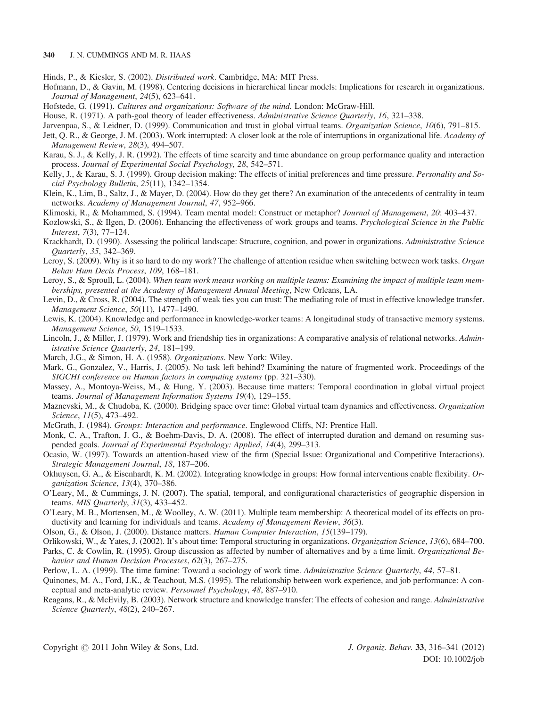Hinds, P., & Kiesler, S. (2002). Distributed work. Cambridge, MA: MIT Press.

- Hofmann, D., & Gavin, M. (1998). Centering decisions in hierarchical linear models: Implications for research in organizations. Journal of Management, 24(5), 623–641.
- Hofstede, G. (1991). Cultures and organizations: Software of the mind. London: McGraw-Hill.

House, R. (1971). A path-goal theory of leader effectiveness. Administrative Science Quarterly, 16, 321-338.

Jarvenpaa, S., & Leidner, D. (1999). Communication and trust in global virtual teams. Organization Science, 10(6), 791-815.

- Jett, Q. R., & George, J. M. (2003). Work interrupted: A closer look at the role of interruptions in organizational life. Academy of Management Review, 28(3), 494–507.
- Karau, S. J., & Kelly, J. R. (1992). The effects of time scarcity and time abundance on group performance quality and interaction process. Journal of Experimental Social Psychology, 28, 542–571.
- Kelly, J., & Karau, S. J. (1999). Group decision making: The effects of initial preferences and time pressure. *Personality and So*cial Psychology Bulletin, 25(11), 1342–1354.
- Klein, K., Lim, B., Saltz, J., & Mayer, D. (2004). How do they get there? An examination of the antecedents of centrality in team networks. Academy of Management Journal, 47, 952–966.
- Klimoski, R., & Mohammed, S. (1994). Team mental model: Construct or metaphor? Journal of Management, 20: 403-437.
- Kozlowski, S., & Ilgen, D. (2006). Enhancing the effectiveness of work groups and teams. Psychological Science in the Public Interest, 7(3), 77–124.
- Krackhardt, D. (1990). Assessing the political landscape: Structure, cognition, and power in organizations. Administrative Science Quarterly, 35, 342–369.
- Leroy, S. (2009). Why is it so hard to do my work? The challenge of attention residue when switching between work tasks. Organ Behav Hum Decis Process, 109, 168–181.
- Leroy, S., & Sproull, L. (2004). When team work means working on multiple teams: Examining the impact of multiple team memberships, presented at the Academy of Management Annual Meeting, New Orleans, LA.
- Levin, D., & Cross, R. (2004). The strength of weak ties you can trust: The mediating role of trust in effective knowledge transfer. Management Science, 50(11), 1477–1490.
- Lewis, K. (2004). Knowledge and performance in knowledge-worker teams: A longitudinal study of transactive memory systems. Management Science, 50, 1519–1533.
- Lincoln, J., & Miller, J. (1979). Work and friendship ties in organizations: A comparative analysis of relational networks. Administrative Science Quarterly, 24, 181–199.
- March, J.G., & Simon, H. A. (1958). *Organizations*. New York: Wiley.
- Mark, G., Gonzalez, V., Harris, J. (2005). No task left behind? Examining the nature of fragmented work. Proceedings of the SIGCHI conference on Human factors in computing systems (pp. 321–330).
- Massey, A., Montoya-Weiss, M., & Hung, Y. (2003). Because time matters: Temporal coordination in global virtual project teams. Journal of Management Information Systems 19(4), 129–155.
- Maznevski, M., & Chudoba, K. (2000). Bridging space over time: Global virtual team dynamics and effectiveness. Organization Science, 11(5), 473–492.
- McGrath, J. (1984). Groups: Interaction and performance. Englewood Cliffs, NJ: Prentice Hall.
- Monk, C. A., Trafton, J. G., & Boehm-Davis, D. A. (2008). The effect of interrupted duration and demand on resuming suspended goals. Journal of Experimental Psychology: Applied, 14(4), 299–313.
- Ocasio, W. (1997). Towards an attention-based view of the firm (Special Issue: Organizational and Competitive Interactions). Strategic Management Journal, 18, 187–206.
- Okhuysen, G. A., & Eisenhardt, K. M. (2002). Integrating knowledge in groups: How formal interventions enable flexibility. Organization Science, 13(4), 370–386.
- O'Leary, M., & Cummings, J. N. (2007). The spatial, temporal, and configurational characteristics of geographic dispersion in teams. MIS Quarterly, 31(3), 433–452.
- O'Leary, M. B., Mortensen, M., & Woolley, A. W. (2011). Multiple team membership: A theoretical model of its effects on productivity and learning for individuals and teams. Academy of Management Review, 36(3).
- Olson, G., & Olson, J. (2000). Distance matters. Human Computer Interaction, 15(139–179).
- Orlikowski, W., & Yates, J. (2002). It's about time: Temporal structuring in organizations. Organization Science, 13(6), 684–700. Parks, C. & Cowlin, R. (1995). Group discussion as affected by number of alternatives and by a time limit. Organizational Behavior and Human Decision Processes, 62(3), 267-275.
- Perlow, L. A. (1999). The time famine: Toward a sociology of work time. Administrative Science Quarterly, 44, 57–81.
- Quinones, M. A., Ford, J.K., & Teachout, M.S. (1995). The relationship between work experience, and job performance: A conceptual and meta-analytic review. Personnel Psychology, 48, 887–910.
- Reagans, R., & McEvily, B. (2003). Network structure and knowledge transfer: The effects of cohesion and range. Administrative Science Quarterly, 48(2), 240–267.